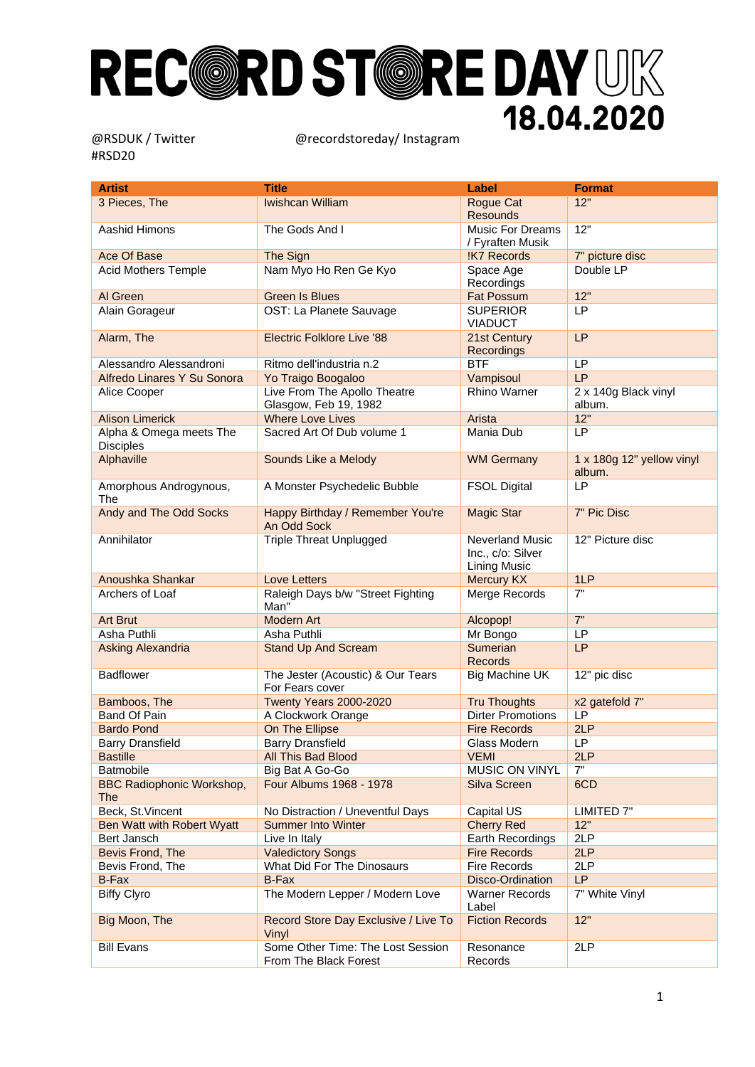| Artist                                         | <b>Title</b>                                               | Label                                                              | <b>Format</b>                       |
|------------------------------------------------|------------------------------------------------------------|--------------------------------------------------------------------|-------------------------------------|
| 3 Pieces, The                                  | <b>Iwishcan William</b>                                    | Rogue Cat                                                          | 12"                                 |
|                                                |                                                            | <b>Resounds</b>                                                    |                                     |
| Aashid Himons                                  | The Gods And I                                             | <b>Music For Dreams</b>                                            | 12"                                 |
|                                                |                                                            | / Fyraften Musik                                                   |                                     |
| Ace Of Base                                    | The Sign                                                   | !K7 Records                                                        | 7" picture disc                     |
| <b>Acid Mothers Temple</b>                     | Nam Myo Ho Ren Ge Kyo                                      | Space Age<br>Recordings                                            | Double LP                           |
| Al Green                                       | <b>Green Is Blues</b>                                      | <b>Fat Possum</b>                                                  | 12"                                 |
| Alain Gorageur                                 | OST: La Planete Sauvage                                    | <b>SUPERIOR</b><br><b>VIADUCT</b>                                  | LP                                  |
| Alarm, The                                     | <b>Electric Folklore Live '88</b>                          | 21st Century<br>Recordings                                         | LP                                  |
| Alessandro Alessandroni                        | Ritmo dell'industria n.2                                   | <b>BTF</b>                                                         | LP                                  |
| Alfredo Linares Y Su Sonora                    | Yo Traigo Boogaloo                                         | Vampisoul                                                          | LP                                  |
| Alice Cooper                                   | Live From The Apollo Theatre                               | <b>Rhino Warner</b>                                                | 2 x 140g Black vinyl                |
|                                                | Glasgow, Feb 19, 1982                                      |                                                                    | album.                              |
| <b>Alison Limerick</b>                         | <b>Where Love Lives</b>                                    | Arista                                                             | 12"                                 |
| Alpha & Omega meets The<br><b>Disciples</b>    | Sacred Art Of Dub volume 1                                 | Mania Dub                                                          | LP                                  |
| Alphaville                                     | Sounds Like a Melody                                       | <b>WM Germany</b>                                                  | 1 x 180g 12" yellow vinyl<br>album. |
| Amorphous Androgynous,<br>The                  | A Monster Psychedelic Bubble                               | <b>FSOL Digital</b>                                                | LP                                  |
| Andy and The Odd Socks                         | Happy Birthday / Remember You're<br>An Odd Sock            | <b>Magic Star</b>                                                  | 7" Pic Disc                         |
| Annihilator                                    | <b>Triple Threat Unplugged</b>                             | <b>Neverland Music</b><br>Inc., c/o: Silver<br><b>Lining Music</b> | 12" Picture disc                    |
| Anoushka Shankar                               | Love Letters                                               | <b>Mercury KX</b>                                                  | 1LP                                 |
| Archers of Loaf                                | Raleigh Days b/w "Street Fighting<br>Man"                  | Merge Records                                                      | 7"                                  |
| <b>Art Brut</b>                                | <b>Modern Art</b>                                          | Alcopop!                                                           | 7"                                  |
| Asha Puthli                                    | Asha Puthli                                                | Mr Bongo                                                           | LP                                  |
| <b>Asking Alexandria</b>                       | <b>Stand Up And Scream</b>                                 | <b>Sumerian</b><br><b>Records</b>                                  | LP                                  |
| <b>Badflower</b>                               | The Jester (Acoustic) & Our Tears<br>For Fears cover       | <b>Big Machine UK</b>                                              | 12" pic disc                        |
| Bamboos, The                                   | Twenty Years 2000-2020                                     | <b>Tru Thoughts</b>                                                | x2 gatefold 7"                      |
| Band Of Pain                                   | A Clockwork Orange                                         | <b>Dirter Promotions</b>                                           | LP                                  |
| <b>Bardo Pond</b>                              | On The Ellipse                                             | <b>Fire Records</b>                                                | 2LP                                 |
| <b>Barry Dransfield</b>                        | <b>Barry Dransfield</b>                                    | Glass Modern                                                       | <b>LP</b>                           |
| <b>Bastille</b>                                | All This Bad Blood                                         | <b>VEMI</b>                                                        | 2LP                                 |
| Batmobile                                      | Big Bat A Go-Go                                            | MUSIC ON VINYL                                                     | 7"                                  |
| <b>BBC Radiophonic Workshop,</b><br><b>The</b> | Four Albums 1968 - 1978                                    | Silva Screen                                                       | 6CD                                 |
| Beck, St. Vincent                              | No Distraction / Uneventful Days                           | Capital US                                                         | LIMITED 7"                          |
| Ben Watt with Robert Wyatt                     | <b>Summer Into Winter</b>                                  | <b>Cherry Red</b>                                                  | 12"                                 |
| Bert Jansch                                    | Live In Italy                                              | Earth Recordings                                                   | 2LP                                 |
| Bevis Frond, The                               | <b>Valedictory Songs</b>                                   | <b>Fire Records</b>                                                | 2LP                                 |
| Bevis Frond, The                               | What Did For The Dinosaurs                                 | <b>Fire Records</b>                                                | 2LP                                 |
| B-Fax                                          | <b>B-Fax</b>                                               | Disco-Ordination                                                   | <b>LP</b>                           |
| <b>Biffy Clyro</b>                             | The Modern Lepper / Modern Love                            | <b>Warner Records</b><br>Label                                     | 7" White Vinyl                      |
| Big Moon, The                                  | Record Store Day Exclusive / Live To<br>Vinyl              | <b>Fiction Records</b>                                             | 12"                                 |
| <b>Bill Evans</b>                              | Some Other Time: The Lost Session<br>From The Black Forest | Resonance<br>Records                                               | 2LP                                 |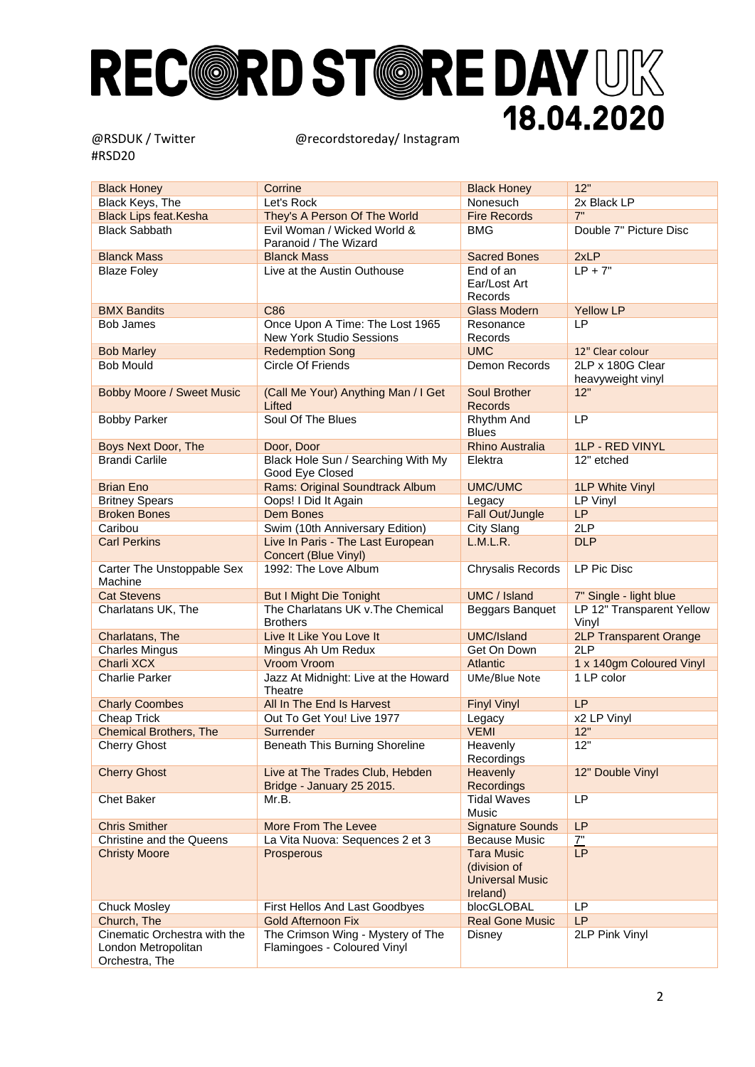| <b>Black Honey</b>                                                    | Corrine                                                          | <b>Black Honey</b>                                                      | 12"                                   |
|-----------------------------------------------------------------------|------------------------------------------------------------------|-------------------------------------------------------------------------|---------------------------------------|
| Black Keys, The                                                       | Let's Rock                                                       | Nonesuch                                                                | 2x Black LP                           |
| <b>Black Lips feat.Kesha</b>                                          | They's A Person Of The World                                     | <b>Fire Records</b>                                                     | 7"                                    |
| <b>Black Sabbath</b>                                                  | Evil Woman / Wicked World &                                      | BMG                                                                     | Double 7" Picture Disc                |
|                                                                       | Paranoid / The Wizard                                            |                                                                         |                                       |
| <b>Blanck Mass</b>                                                    | <b>Blanck Mass</b>                                               | <b>Sacred Bones</b>                                                     | 2xLP                                  |
| <b>Blaze Foley</b>                                                    | Live at the Austin Outhouse                                      | End of an<br>Ear/Lost Art<br>Records                                    | $LP + 7"$                             |
| <b>BMX Bandits</b>                                                    | C86                                                              | <b>Glass Modern</b>                                                     | <b>Yellow LP</b>                      |
| <b>Bob James</b>                                                      | Once Upon A Time: The Lost 1965<br>New York Studio Sessions      | Resonance<br>Records                                                    | <b>LP</b>                             |
| <b>Bob Marley</b>                                                     | <b>Redemption Song</b>                                           | <b>UMC</b>                                                              | 12" Clear colour                      |
| <b>Bob Mould</b>                                                      | Circle Of Friends                                                | <b>Demon Records</b>                                                    | 2LP x 180G Clear<br>heavyweight vinyl |
| <b>Bobby Moore / Sweet Music</b>                                      | (Call Me Your) Anything Man / I Get<br>Lifted                    | <b>Soul Brother</b><br><b>Records</b>                                   | 12"                                   |
| <b>Bobby Parker</b>                                                   | Soul Of The Blues                                                | Rhythm And<br><b>Blues</b>                                              | LP                                    |
| <b>Boys Next Door, The</b>                                            | Door, Door                                                       | <b>Rhino Australia</b>                                                  | <b>1LP - RED VINYL</b>                |
| <b>Brandi Carlile</b>                                                 | Black Hole Sun / Searching With My<br>Good Eye Closed            | Elektra                                                                 | 12" etched                            |
| <b>Brian Eno</b>                                                      | Rams: Original Soundtrack Album                                  | <b>UMC/UMC</b>                                                          | <b>1LP White Vinyl</b>                |
| <b>Britney Spears</b>                                                 | Oops! I Did It Again                                             | Legacy                                                                  | LP Vinyl                              |
| <b>Broken Bones</b>                                                   | <b>Dem Bones</b>                                                 | Fall Out/Jungle                                                         | LP                                    |
| Caribou                                                               | Swim (10th Anniversary Edition)                                  | City Slang                                                              | 2LP                                   |
| <b>Carl Perkins</b>                                                   | Live In Paris - The Last European<br>Concert (Blue Vinyl)        | L.M.L.R.                                                                | <b>DLP</b>                            |
| Carter The Unstoppable Sex<br>Machine                                 | 1992: The Love Album                                             | Chrysalis Records                                                       | LP Pic Disc                           |
| <b>Cat Stevens</b>                                                    | <b>But I Might Die Tonight</b>                                   | UMC / Island                                                            | 7" Single - light blue                |
| Charlatans UK, The                                                    | The Charlatans UK v. The Chemical<br><b>Brothers</b>             | Beggars Banquet                                                         | LP 12" Transparent Yellow<br>Vinyl    |
| Charlatans, The                                                       | Live It Like You Love It                                         | <b>UMC/Island</b>                                                       | <b>2LP Transparent Orange</b>         |
| <b>Charles Mingus</b>                                                 | Mingus Ah Um Redux                                               | Get On Down                                                             | 2LP                                   |
| Charli XCX                                                            | Vroom Vroom                                                      | Atlantic                                                                | 1 x 140gm Coloured Vinyl              |
| <b>Charlie Parker</b>                                                 | Jazz At Midnight: Live at the Howard<br>Theatre                  | <b>UMe/Blue Note</b>                                                    | 1 LP color                            |
| <b>Charly Coombes</b>                                                 | All In The End Is Harvest                                        | <b>Finyl Vinyl</b>                                                      | <b>LP</b>                             |
| <b>Cheap Trick</b>                                                    | Out To Get You! Live 1977                                        | Legacy                                                                  | x2 LP Vinyl                           |
| <b>Chemical Brothers, The</b>                                         | Surrender                                                        | <b>VEMI</b>                                                             | 12"                                   |
| <b>Cherry Ghost</b>                                                   | Beneath This Burning Shoreline                                   | Heavenly<br>Recordings                                                  | 12"                                   |
| <b>Cherry Ghost</b>                                                   | Live at The Trades Club, Hebden<br>Bridge - January 25 2015.     | Heavenly<br><b>Recordings</b>                                           | 12" Double Vinyl                      |
| <b>Chet Baker</b>                                                     | Mr.B.                                                            | <b>Tidal Waves</b><br>Music                                             | LP                                    |
| <b>Chris Smither</b>                                                  | More From The Levee                                              | <b>Signature Sounds</b>                                                 | LP                                    |
| Christine and the Queens                                              | La Vita Nuova: Sequences 2 et 3                                  | <b>Because Music</b>                                                    | $Z$ "                                 |
| <b>Christy Moore</b>                                                  | Prosperous                                                       | <b>Tara Music</b><br>(division of<br><b>Universal Music</b><br>Ireland) | <b>LP</b>                             |
| <b>Chuck Mosley</b>                                                   | First Hellos And Last Goodbyes                                   | blocGLOBAL                                                              | LP                                    |
| Church, The                                                           | <b>Gold Afternoon Fix</b>                                        | <b>Real Gone Music</b>                                                  | LP                                    |
| Cinematic Orchestra with the<br>London Metropolitan<br>Orchestra, The | The Crimson Wing - Mystery of The<br>Flamingoes - Coloured Vinyl | <b>Disney</b>                                                           | 2LP Pink Vinyl                        |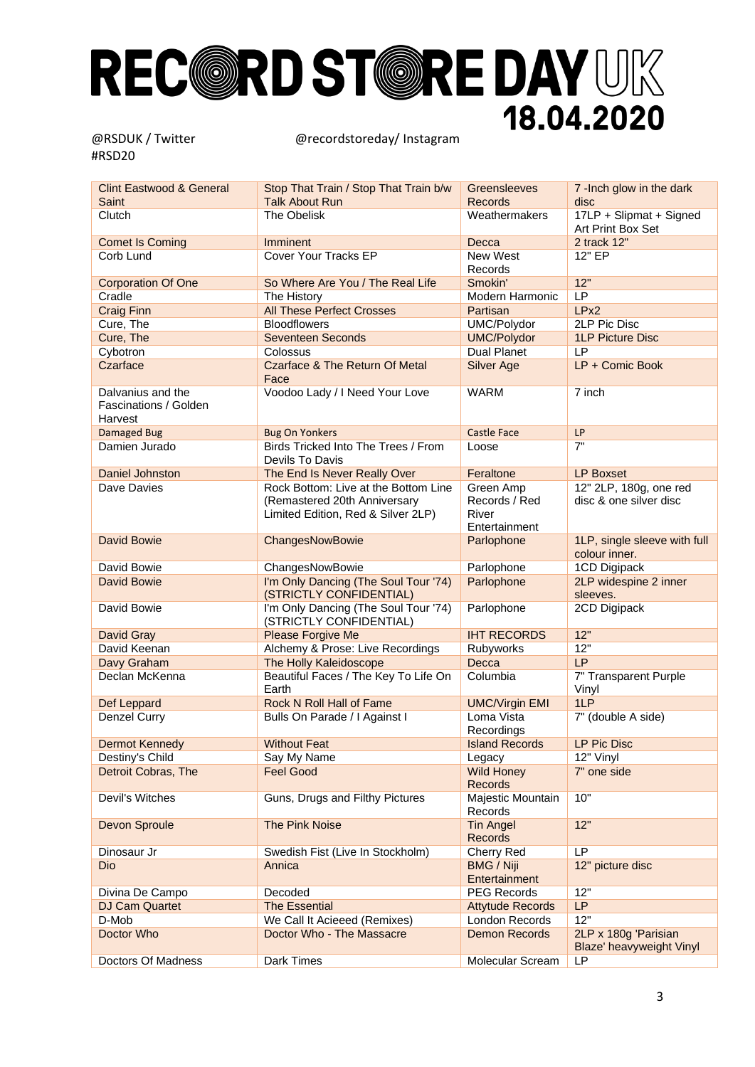| <b>Clint Eastwood &amp; General</b><br>Saint          | Stop That Train / Stop That Train b/w<br><b>Talk About Run</b>                                             | Greensleeves<br><b>Records</b>                              | 7 -Inch glow in the dark<br>disc                 |
|-------------------------------------------------------|------------------------------------------------------------------------------------------------------------|-------------------------------------------------------------|--------------------------------------------------|
| Clutch                                                | The Obelisk                                                                                                | Weathermakers                                               | 17LP + Slipmat + Signed<br>Art Print Box Set     |
| <b>Comet Is Coming</b>                                | Imminent                                                                                                   | Decca                                                       | 2 track 12"                                      |
| Corb Lund                                             | Cover Your Tracks EP                                                                                       | New West<br>Records                                         | 12" EP                                           |
| <b>Corporation Of One</b>                             | So Where Are You / The Real Life                                                                           | Smokin'                                                     | 12"                                              |
| Cradle                                                | The History                                                                                                | Modern Harmonic                                             | LP                                               |
| <b>Craig Finn</b>                                     | <b>All These Perfect Crosses</b>                                                                           | Partisan                                                    | LPx <sub>2</sub>                                 |
| Cure, The                                             | <b>Bloodflowers</b>                                                                                        | UMC/Polydor                                                 | 2LP Pic Disc                                     |
| Cure, The                                             | <b>Seventeen Seconds</b>                                                                                   | <b>UMC/Polydor</b>                                          | <b>1LP Picture Disc</b>                          |
| Cybotron                                              | Colossus                                                                                                   | <b>Dual Planet</b>                                          | LP                                               |
| Czarface                                              | <b>Czarface &amp; The Return Of Metal</b><br>Face                                                          | <b>Silver Age</b>                                           | LP + Comic Book                                  |
| Dalvanius and the<br>Fascinations / Golden<br>Harvest | Voodoo Lady / I Need Your Love                                                                             | <b>WARM</b>                                                 | 7 inch                                           |
| <b>Damaged Bug</b>                                    | <b>Bug On Yonkers</b>                                                                                      | <b>Castle Face</b>                                          | LP                                               |
| Damien Jurado                                         | Birds Tricked Into The Trees / From<br>Devils To Davis                                                     | Loose                                                       | 7"                                               |
| Daniel Johnston                                       | The End Is Never Really Over                                                                               | Feraltone                                                   | <b>LP Boxset</b>                                 |
| Dave Davies                                           | Rock Bottom: Live at the Bottom Line<br>(Remastered 20th Anniversary<br>Limited Edition, Red & Silver 2LP) | Green Amp<br>Records / Red<br><b>River</b><br>Entertainment | 12" 2LP, 180g, one red<br>disc & one silver disc |
| <b>David Bowie</b>                                    | ChangesNowBowie                                                                                            | Parlophone                                                  | 1LP, single sleeve with full<br>colour inner.    |
| David Bowie                                           | ChangesNowBowie                                                                                            | Parlophone                                                  | 1CD Digipack                                     |
| <b>David Bowie</b>                                    | I'm Only Dancing (The Soul Tour '74)<br>(STRICTLY CONFIDENTIAL)                                            | Parlophone                                                  | 2LP widespine 2 inner<br>sleeves.                |
| David Bowie                                           | I'm Only Dancing (The Soul Tour '74)<br>(STRICTLY CONFIDENTIAL)                                            | Parlophone                                                  | 2CD Digipack                                     |
| David Gray                                            | Please Forgive Me                                                                                          | <b>IHT RECORDS</b>                                          | 12"                                              |
| David Keenan                                          | Alchemy & Prose: Live Recordings                                                                           | Rubyworks                                                   | 12"                                              |
| Davy Graham                                           | The Holly Kaleidoscope                                                                                     | Decca                                                       | LP                                               |
| Declan McKenna                                        | Beautiful Faces / The Key To Life On<br>Earth                                                              | Columbia                                                    | 7" Transparent Purple<br>Vinyl                   |
| Def Leppard                                           | Rock N Roll Hall of Fame                                                                                   | <b>UMC/Virgin EMI</b>                                       | 1LP                                              |
| Denzel Curry                                          | Bulls On Parade / I Against I                                                                              | Loma Vista<br>Recordings                                    | 7" (double A side)                               |
| <b>Dermot Kennedy</b>                                 | <b>Without Feat</b>                                                                                        | <b>Island Records</b>                                       | LP Pic Disc                                      |
| Destiny's Child                                       | Say My Name                                                                                                | Legacy                                                      | 12" Vinyl                                        |
| Detroit Cobras, The                                   | <b>Feel Good</b>                                                                                           | <b>Wild Honey</b><br><b>Records</b>                         | 7" one side                                      |
| Devil's Witches                                       | Guns, Drugs and Filthy Pictures                                                                            | Majestic Mountain<br>Records                                | 10"                                              |
| Devon Sproule                                         | The Pink Noise                                                                                             | <b>Tin Angel</b><br>Records                                 | 12"                                              |
| Dinosaur Jr                                           | Swedish Fist (Live In Stockholm)                                                                           | Cherry Red                                                  | LP                                               |
| Dio                                                   | Annica                                                                                                     | <b>BMG / Niji</b><br>Entertainment                          | 12" picture disc                                 |
| Divina De Campo                                       | Decoded                                                                                                    | <b>PEG Records</b>                                          | 12"                                              |
| DJ Cam Quartet                                        | <b>The Essential</b>                                                                                       | <b>Attytude Records</b>                                     | <b>LP</b>                                        |
| D-Mob                                                 | We Call It Acieeed (Remixes)                                                                               | London Records                                              | 12"                                              |
| Doctor Who                                            | Doctor Who - The Massacre                                                                                  | <b>Demon Records</b>                                        | 2LP x 180g 'Parisian<br>Blaze' heavyweight Vinyl |
| Doctors Of Madness                                    | Dark Times                                                                                                 | Molecular Scream                                            | LP                                               |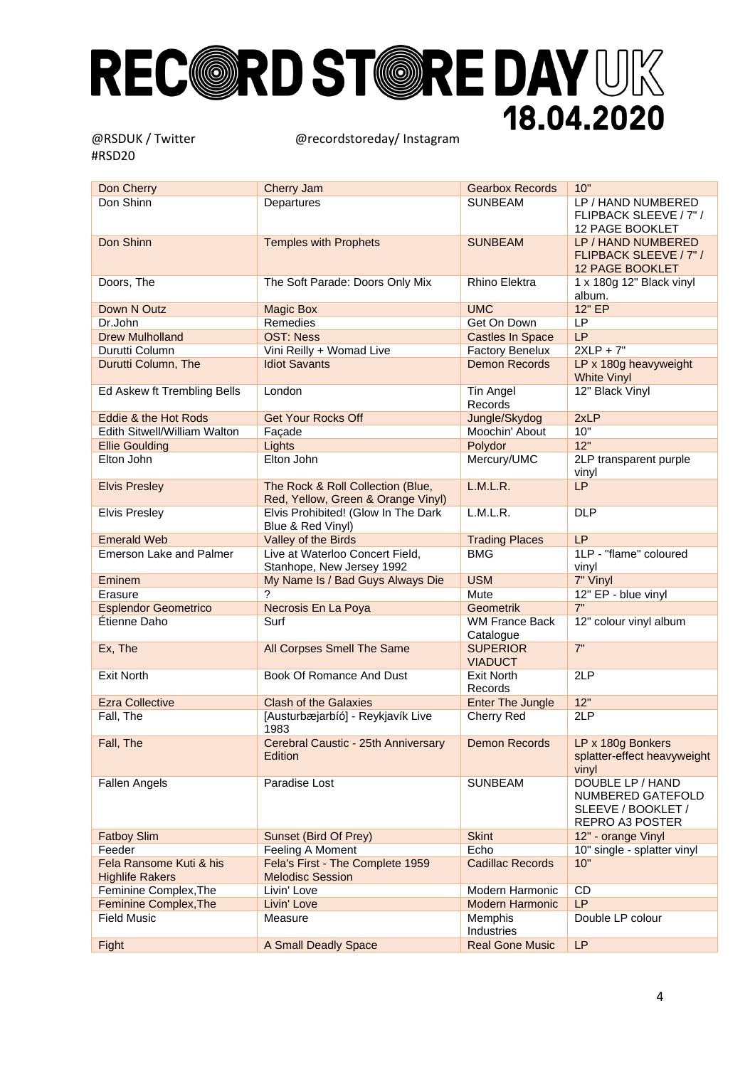| Don Shinn<br>Departures<br><b>SUNBEAM</b><br>LP / HAND NUMBERED<br>FLIPBACK SLEEVE / 7" /<br>12 PAGE BOOKLET<br>Don Shinn<br><b>Temples with Prophets</b><br><b>SUNBEAM</b><br>LP / HAND NUMBERED<br>FLIPBACK SLEEVE / 7" /<br><b>12 PAGE BOOKLET</b><br>Doors, The<br>The Soft Parade: Doors Only Mix<br><b>Rhino Elektra</b><br>1 x 180g 12" Black vinyl<br>album.<br><b>UMC</b><br>12" EP<br>Down N Outz<br><b>Magic Box</b><br>Remedies<br>LP<br>Dr.John<br>Get On Down<br><b>LP</b><br><b>Drew Mulholland</b><br><b>OST: Ness</b><br><b>Castles In Space</b><br>$2XLP + 7"$<br>Vini Reilly + Womad Live<br>Durutti Column<br><b>Factory Benelux</b><br><b>Idiot Savants</b><br><b>Demon Records</b><br>LP x 180g heavyweight<br>Durutti Column, The<br><b>White Vinyl</b><br>12" Black Vinyl<br>Ed Askew ft Trembling Bells<br>London<br>Tin Angel<br>Records<br>Eddie & the Hot Rods<br><b>Get Your Rocks Off</b><br>Jungle/Skydog<br>2xLP<br>Moochin' About<br>10"<br>Edith Sitwell/William Walton<br>Façade<br>12"<br>Lights<br>Polydor<br><b>Ellie Goulding</b><br>Elton John<br>Mercury/UMC<br>Elton John<br>2LP transparent purple<br>vinyl<br>The Rock & Roll Collection (Blue,<br>L.M.L.R.<br><b>LP</b><br><b>Elvis Presley</b><br>Red, Yellow, Green & Orange Vinyl)<br>Elvis Prohibited! (Glow In The Dark<br>L.M.L.R.<br><b>DLP</b><br><b>Elvis Presley</b><br>Blue & Red Vinyl)<br><b>Emerald Web</b><br>Valley of the Birds<br><b>Trading Places</b><br>LP<br>1LP - "flame" coloured<br>Live at Waterloo Concert Field,<br><b>BMG</b><br><b>Emerson Lake and Palmer</b><br>Stanhope, New Jersey 1992<br>vinyl<br>My Name Is / Bad Guys Always Die<br><b>USM</b><br>7" Vinyl<br>Eminem<br>?<br>Mute<br>12" EP - blue vinyl<br>Erasure<br>7"<br><b>Esplendor Geometrico</b><br>Necrosis En La Poya<br>Geometrik<br>Étienne Daho<br>Surf<br><b>WM France Back</b><br>12" colour vinyl album<br>Catalogue<br>7"<br><b>SUPERIOR</b><br>Ex, The<br>All Corpses Smell The Same<br><b>VIADUCT</b><br>2LP<br><b>Exit North</b><br>Book Of Romance And Dust<br><b>Exit North</b><br>Records<br>12"<br><b>Ezra Collective</b><br><b>Clash of the Galaxies</b><br><b>Enter The Jungle</b><br>2LP<br>Fall, The<br>[Austurbæjarbíó] - Reykjavík Live<br>Cherry Red<br>1983<br>Fall, The<br>Cerebral Caustic - 25th Anniversary<br><b>Demon Records</b><br>LP x 180g Bonkers<br>Edition<br>splatter-effect heavyweight<br>vinyl<br><b>Fallen Angels</b><br>Paradise Lost<br><b>SUNBEAM</b><br>DOUBLE LP / HAND<br>NUMBERED GATEFOLD<br>SLEEVE / BOOKLET /<br>REPRO A3 POSTER<br><b>Skint</b><br>12" - orange Vinyl<br><b>Fatboy Slim</b><br>Sunset (Bird Of Prey)<br>Feeder<br>Feeling A Moment<br>Echo<br>10" single - splatter vinyl<br>Fela's First - The Complete 1959<br>10"<br>Fela Ransome Kuti & his<br><b>Cadillac Records</b><br><b>Melodisc Session</b><br><b>Highlife Rakers</b><br>Feminine Complex, The<br>Livin' Love<br>Modern Harmonic<br>CD<br>LP<br>Feminine Complex, The<br>Livin' Love<br>Modern Harmonic<br><b>Field Music</b><br>Memphis<br>Double LP colour<br>Measure<br>Industries<br>LP<br>Fight<br>A Small Deadly Space<br><b>Real Gone Music</b> | Don Cherry | <b>Cherry Jam</b> | <b>Gearbox Records</b> | 10" |
|----------------------------------------------------------------------------------------------------------------------------------------------------------------------------------------------------------------------------------------------------------------------------------------------------------------------------------------------------------------------------------------------------------------------------------------------------------------------------------------------------------------------------------------------------------------------------------------------------------------------------------------------------------------------------------------------------------------------------------------------------------------------------------------------------------------------------------------------------------------------------------------------------------------------------------------------------------------------------------------------------------------------------------------------------------------------------------------------------------------------------------------------------------------------------------------------------------------------------------------------------------------------------------------------------------------------------------------------------------------------------------------------------------------------------------------------------------------------------------------------------------------------------------------------------------------------------------------------------------------------------------------------------------------------------------------------------------------------------------------------------------------------------------------------------------------------------------------------------------------------------------------------------------------------------------------------------------------------------------------------------------------------------------------------------------------------------------------------------------------------------------------------------------------------------------------------------------------------------------------------------------------------------------------------------------------------------------------------------------------------------------------------------------------------------------------------------------------------------------------------------------------------------------------------------------------------------------------------------------------------------------------------------------------------------------------------------------------------------------------------------------------------------------------------------------------------------------------------------------------------------------------------------------------------------------------------------------------------------------------------------------------------------------------------------------------------------------------------------------------------------------------------------------------------------------|------------|-------------------|------------------------|-----|
|                                                                                                                                                                                                                                                                                                                                                                                                                                                                                                                                                                                                                                                                                                                                                                                                                                                                                                                                                                                                                                                                                                                                                                                                                                                                                                                                                                                                                                                                                                                                                                                                                                                                                                                                                                                                                                                                                                                                                                                                                                                                                                                                                                                                                                                                                                                                                                                                                                                                                                                                                                                                                                                                                                                                                                                                                                                                                                                                                                                                                                                                                                                                                                                  |            |                   |                        |     |
|                                                                                                                                                                                                                                                                                                                                                                                                                                                                                                                                                                                                                                                                                                                                                                                                                                                                                                                                                                                                                                                                                                                                                                                                                                                                                                                                                                                                                                                                                                                                                                                                                                                                                                                                                                                                                                                                                                                                                                                                                                                                                                                                                                                                                                                                                                                                                                                                                                                                                                                                                                                                                                                                                                                                                                                                                                                                                                                                                                                                                                                                                                                                                                                  |            |                   |                        |     |
|                                                                                                                                                                                                                                                                                                                                                                                                                                                                                                                                                                                                                                                                                                                                                                                                                                                                                                                                                                                                                                                                                                                                                                                                                                                                                                                                                                                                                                                                                                                                                                                                                                                                                                                                                                                                                                                                                                                                                                                                                                                                                                                                                                                                                                                                                                                                                                                                                                                                                                                                                                                                                                                                                                                                                                                                                                                                                                                                                                                                                                                                                                                                                                                  |            |                   |                        |     |
|                                                                                                                                                                                                                                                                                                                                                                                                                                                                                                                                                                                                                                                                                                                                                                                                                                                                                                                                                                                                                                                                                                                                                                                                                                                                                                                                                                                                                                                                                                                                                                                                                                                                                                                                                                                                                                                                                                                                                                                                                                                                                                                                                                                                                                                                                                                                                                                                                                                                                                                                                                                                                                                                                                                                                                                                                                                                                                                                                                                                                                                                                                                                                                                  |            |                   |                        |     |
|                                                                                                                                                                                                                                                                                                                                                                                                                                                                                                                                                                                                                                                                                                                                                                                                                                                                                                                                                                                                                                                                                                                                                                                                                                                                                                                                                                                                                                                                                                                                                                                                                                                                                                                                                                                                                                                                                                                                                                                                                                                                                                                                                                                                                                                                                                                                                                                                                                                                                                                                                                                                                                                                                                                                                                                                                                                                                                                                                                                                                                                                                                                                                                                  |            |                   |                        |     |
|                                                                                                                                                                                                                                                                                                                                                                                                                                                                                                                                                                                                                                                                                                                                                                                                                                                                                                                                                                                                                                                                                                                                                                                                                                                                                                                                                                                                                                                                                                                                                                                                                                                                                                                                                                                                                                                                                                                                                                                                                                                                                                                                                                                                                                                                                                                                                                                                                                                                                                                                                                                                                                                                                                                                                                                                                                                                                                                                                                                                                                                                                                                                                                                  |            |                   |                        |     |
|                                                                                                                                                                                                                                                                                                                                                                                                                                                                                                                                                                                                                                                                                                                                                                                                                                                                                                                                                                                                                                                                                                                                                                                                                                                                                                                                                                                                                                                                                                                                                                                                                                                                                                                                                                                                                                                                                                                                                                                                                                                                                                                                                                                                                                                                                                                                                                                                                                                                                                                                                                                                                                                                                                                                                                                                                                                                                                                                                                                                                                                                                                                                                                                  |            |                   |                        |     |
|                                                                                                                                                                                                                                                                                                                                                                                                                                                                                                                                                                                                                                                                                                                                                                                                                                                                                                                                                                                                                                                                                                                                                                                                                                                                                                                                                                                                                                                                                                                                                                                                                                                                                                                                                                                                                                                                                                                                                                                                                                                                                                                                                                                                                                                                                                                                                                                                                                                                                                                                                                                                                                                                                                                                                                                                                                                                                                                                                                                                                                                                                                                                                                                  |            |                   |                        |     |
|                                                                                                                                                                                                                                                                                                                                                                                                                                                                                                                                                                                                                                                                                                                                                                                                                                                                                                                                                                                                                                                                                                                                                                                                                                                                                                                                                                                                                                                                                                                                                                                                                                                                                                                                                                                                                                                                                                                                                                                                                                                                                                                                                                                                                                                                                                                                                                                                                                                                                                                                                                                                                                                                                                                                                                                                                                                                                                                                                                                                                                                                                                                                                                                  |            |                   |                        |     |
|                                                                                                                                                                                                                                                                                                                                                                                                                                                                                                                                                                                                                                                                                                                                                                                                                                                                                                                                                                                                                                                                                                                                                                                                                                                                                                                                                                                                                                                                                                                                                                                                                                                                                                                                                                                                                                                                                                                                                                                                                                                                                                                                                                                                                                                                                                                                                                                                                                                                                                                                                                                                                                                                                                                                                                                                                                                                                                                                                                                                                                                                                                                                                                                  |            |                   |                        |     |
|                                                                                                                                                                                                                                                                                                                                                                                                                                                                                                                                                                                                                                                                                                                                                                                                                                                                                                                                                                                                                                                                                                                                                                                                                                                                                                                                                                                                                                                                                                                                                                                                                                                                                                                                                                                                                                                                                                                                                                                                                                                                                                                                                                                                                                                                                                                                                                                                                                                                                                                                                                                                                                                                                                                                                                                                                                                                                                                                                                                                                                                                                                                                                                                  |            |                   |                        |     |
|                                                                                                                                                                                                                                                                                                                                                                                                                                                                                                                                                                                                                                                                                                                                                                                                                                                                                                                                                                                                                                                                                                                                                                                                                                                                                                                                                                                                                                                                                                                                                                                                                                                                                                                                                                                                                                                                                                                                                                                                                                                                                                                                                                                                                                                                                                                                                                                                                                                                                                                                                                                                                                                                                                                                                                                                                                                                                                                                                                                                                                                                                                                                                                                  |            |                   |                        |     |
|                                                                                                                                                                                                                                                                                                                                                                                                                                                                                                                                                                                                                                                                                                                                                                                                                                                                                                                                                                                                                                                                                                                                                                                                                                                                                                                                                                                                                                                                                                                                                                                                                                                                                                                                                                                                                                                                                                                                                                                                                                                                                                                                                                                                                                                                                                                                                                                                                                                                                                                                                                                                                                                                                                                                                                                                                                                                                                                                                                                                                                                                                                                                                                                  |            |                   |                        |     |
|                                                                                                                                                                                                                                                                                                                                                                                                                                                                                                                                                                                                                                                                                                                                                                                                                                                                                                                                                                                                                                                                                                                                                                                                                                                                                                                                                                                                                                                                                                                                                                                                                                                                                                                                                                                                                                                                                                                                                                                                                                                                                                                                                                                                                                                                                                                                                                                                                                                                                                                                                                                                                                                                                                                                                                                                                                                                                                                                                                                                                                                                                                                                                                                  |            |                   |                        |     |
|                                                                                                                                                                                                                                                                                                                                                                                                                                                                                                                                                                                                                                                                                                                                                                                                                                                                                                                                                                                                                                                                                                                                                                                                                                                                                                                                                                                                                                                                                                                                                                                                                                                                                                                                                                                                                                                                                                                                                                                                                                                                                                                                                                                                                                                                                                                                                                                                                                                                                                                                                                                                                                                                                                                                                                                                                                                                                                                                                                                                                                                                                                                                                                                  |            |                   |                        |     |
|                                                                                                                                                                                                                                                                                                                                                                                                                                                                                                                                                                                                                                                                                                                                                                                                                                                                                                                                                                                                                                                                                                                                                                                                                                                                                                                                                                                                                                                                                                                                                                                                                                                                                                                                                                                                                                                                                                                                                                                                                                                                                                                                                                                                                                                                                                                                                                                                                                                                                                                                                                                                                                                                                                                                                                                                                                                                                                                                                                                                                                                                                                                                                                                  |            |                   |                        |     |
|                                                                                                                                                                                                                                                                                                                                                                                                                                                                                                                                                                                                                                                                                                                                                                                                                                                                                                                                                                                                                                                                                                                                                                                                                                                                                                                                                                                                                                                                                                                                                                                                                                                                                                                                                                                                                                                                                                                                                                                                                                                                                                                                                                                                                                                                                                                                                                                                                                                                                                                                                                                                                                                                                                                                                                                                                                                                                                                                                                                                                                                                                                                                                                                  |            |                   |                        |     |
|                                                                                                                                                                                                                                                                                                                                                                                                                                                                                                                                                                                                                                                                                                                                                                                                                                                                                                                                                                                                                                                                                                                                                                                                                                                                                                                                                                                                                                                                                                                                                                                                                                                                                                                                                                                                                                                                                                                                                                                                                                                                                                                                                                                                                                                                                                                                                                                                                                                                                                                                                                                                                                                                                                                                                                                                                                                                                                                                                                                                                                                                                                                                                                                  |            |                   |                        |     |
|                                                                                                                                                                                                                                                                                                                                                                                                                                                                                                                                                                                                                                                                                                                                                                                                                                                                                                                                                                                                                                                                                                                                                                                                                                                                                                                                                                                                                                                                                                                                                                                                                                                                                                                                                                                                                                                                                                                                                                                                                                                                                                                                                                                                                                                                                                                                                                                                                                                                                                                                                                                                                                                                                                                                                                                                                                                                                                                                                                                                                                                                                                                                                                                  |            |                   |                        |     |
|                                                                                                                                                                                                                                                                                                                                                                                                                                                                                                                                                                                                                                                                                                                                                                                                                                                                                                                                                                                                                                                                                                                                                                                                                                                                                                                                                                                                                                                                                                                                                                                                                                                                                                                                                                                                                                                                                                                                                                                                                                                                                                                                                                                                                                                                                                                                                                                                                                                                                                                                                                                                                                                                                                                                                                                                                                                                                                                                                                                                                                                                                                                                                                                  |            |                   |                        |     |
|                                                                                                                                                                                                                                                                                                                                                                                                                                                                                                                                                                                                                                                                                                                                                                                                                                                                                                                                                                                                                                                                                                                                                                                                                                                                                                                                                                                                                                                                                                                                                                                                                                                                                                                                                                                                                                                                                                                                                                                                                                                                                                                                                                                                                                                                                                                                                                                                                                                                                                                                                                                                                                                                                                                                                                                                                                                                                                                                                                                                                                                                                                                                                                                  |            |                   |                        |     |
|                                                                                                                                                                                                                                                                                                                                                                                                                                                                                                                                                                                                                                                                                                                                                                                                                                                                                                                                                                                                                                                                                                                                                                                                                                                                                                                                                                                                                                                                                                                                                                                                                                                                                                                                                                                                                                                                                                                                                                                                                                                                                                                                                                                                                                                                                                                                                                                                                                                                                                                                                                                                                                                                                                                                                                                                                                                                                                                                                                                                                                                                                                                                                                                  |            |                   |                        |     |
|                                                                                                                                                                                                                                                                                                                                                                                                                                                                                                                                                                                                                                                                                                                                                                                                                                                                                                                                                                                                                                                                                                                                                                                                                                                                                                                                                                                                                                                                                                                                                                                                                                                                                                                                                                                                                                                                                                                                                                                                                                                                                                                                                                                                                                                                                                                                                                                                                                                                                                                                                                                                                                                                                                                                                                                                                                                                                                                                                                                                                                                                                                                                                                                  |            |                   |                        |     |
|                                                                                                                                                                                                                                                                                                                                                                                                                                                                                                                                                                                                                                                                                                                                                                                                                                                                                                                                                                                                                                                                                                                                                                                                                                                                                                                                                                                                                                                                                                                                                                                                                                                                                                                                                                                                                                                                                                                                                                                                                                                                                                                                                                                                                                                                                                                                                                                                                                                                                                                                                                                                                                                                                                                                                                                                                                                                                                                                                                                                                                                                                                                                                                                  |            |                   |                        |     |
|                                                                                                                                                                                                                                                                                                                                                                                                                                                                                                                                                                                                                                                                                                                                                                                                                                                                                                                                                                                                                                                                                                                                                                                                                                                                                                                                                                                                                                                                                                                                                                                                                                                                                                                                                                                                                                                                                                                                                                                                                                                                                                                                                                                                                                                                                                                                                                                                                                                                                                                                                                                                                                                                                                                                                                                                                                                                                                                                                                                                                                                                                                                                                                                  |            |                   |                        |     |
|                                                                                                                                                                                                                                                                                                                                                                                                                                                                                                                                                                                                                                                                                                                                                                                                                                                                                                                                                                                                                                                                                                                                                                                                                                                                                                                                                                                                                                                                                                                                                                                                                                                                                                                                                                                                                                                                                                                                                                                                                                                                                                                                                                                                                                                                                                                                                                                                                                                                                                                                                                                                                                                                                                                                                                                                                                                                                                                                                                                                                                                                                                                                                                                  |            |                   |                        |     |
|                                                                                                                                                                                                                                                                                                                                                                                                                                                                                                                                                                                                                                                                                                                                                                                                                                                                                                                                                                                                                                                                                                                                                                                                                                                                                                                                                                                                                                                                                                                                                                                                                                                                                                                                                                                                                                                                                                                                                                                                                                                                                                                                                                                                                                                                                                                                                                                                                                                                                                                                                                                                                                                                                                                                                                                                                                                                                                                                                                                                                                                                                                                                                                                  |            |                   |                        |     |
|                                                                                                                                                                                                                                                                                                                                                                                                                                                                                                                                                                                                                                                                                                                                                                                                                                                                                                                                                                                                                                                                                                                                                                                                                                                                                                                                                                                                                                                                                                                                                                                                                                                                                                                                                                                                                                                                                                                                                                                                                                                                                                                                                                                                                                                                                                                                                                                                                                                                                                                                                                                                                                                                                                                                                                                                                                                                                                                                                                                                                                                                                                                                                                                  |            |                   |                        |     |
|                                                                                                                                                                                                                                                                                                                                                                                                                                                                                                                                                                                                                                                                                                                                                                                                                                                                                                                                                                                                                                                                                                                                                                                                                                                                                                                                                                                                                                                                                                                                                                                                                                                                                                                                                                                                                                                                                                                                                                                                                                                                                                                                                                                                                                                                                                                                                                                                                                                                                                                                                                                                                                                                                                                                                                                                                                                                                                                                                                                                                                                                                                                                                                                  |            |                   |                        |     |
|                                                                                                                                                                                                                                                                                                                                                                                                                                                                                                                                                                                                                                                                                                                                                                                                                                                                                                                                                                                                                                                                                                                                                                                                                                                                                                                                                                                                                                                                                                                                                                                                                                                                                                                                                                                                                                                                                                                                                                                                                                                                                                                                                                                                                                                                                                                                                                                                                                                                                                                                                                                                                                                                                                                                                                                                                                                                                                                                                                                                                                                                                                                                                                                  |            |                   |                        |     |
|                                                                                                                                                                                                                                                                                                                                                                                                                                                                                                                                                                                                                                                                                                                                                                                                                                                                                                                                                                                                                                                                                                                                                                                                                                                                                                                                                                                                                                                                                                                                                                                                                                                                                                                                                                                                                                                                                                                                                                                                                                                                                                                                                                                                                                                                                                                                                                                                                                                                                                                                                                                                                                                                                                                                                                                                                                                                                                                                                                                                                                                                                                                                                                                  |            |                   |                        |     |
|                                                                                                                                                                                                                                                                                                                                                                                                                                                                                                                                                                                                                                                                                                                                                                                                                                                                                                                                                                                                                                                                                                                                                                                                                                                                                                                                                                                                                                                                                                                                                                                                                                                                                                                                                                                                                                                                                                                                                                                                                                                                                                                                                                                                                                                                                                                                                                                                                                                                                                                                                                                                                                                                                                                                                                                                                                                                                                                                                                                                                                                                                                                                                                                  |            |                   |                        |     |
|                                                                                                                                                                                                                                                                                                                                                                                                                                                                                                                                                                                                                                                                                                                                                                                                                                                                                                                                                                                                                                                                                                                                                                                                                                                                                                                                                                                                                                                                                                                                                                                                                                                                                                                                                                                                                                                                                                                                                                                                                                                                                                                                                                                                                                                                                                                                                                                                                                                                                                                                                                                                                                                                                                                                                                                                                                                                                                                                                                                                                                                                                                                                                                                  |            |                   |                        |     |
|                                                                                                                                                                                                                                                                                                                                                                                                                                                                                                                                                                                                                                                                                                                                                                                                                                                                                                                                                                                                                                                                                                                                                                                                                                                                                                                                                                                                                                                                                                                                                                                                                                                                                                                                                                                                                                                                                                                                                                                                                                                                                                                                                                                                                                                                                                                                                                                                                                                                                                                                                                                                                                                                                                                                                                                                                                                                                                                                                                                                                                                                                                                                                                                  |            |                   |                        |     |
|                                                                                                                                                                                                                                                                                                                                                                                                                                                                                                                                                                                                                                                                                                                                                                                                                                                                                                                                                                                                                                                                                                                                                                                                                                                                                                                                                                                                                                                                                                                                                                                                                                                                                                                                                                                                                                                                                                                                                                                                                                                                                                                                                                                                                                                                                                                                                                                                                                                                                                                                                                                                                                                                                                                                                                                                                                                                                                                                                                                                                                                                                                                                                                                  |            |                   |                        |     |
|                                                                                                                                                                                                                                                                                                                                                                                                                                                                                                                                                                                                                                                                                                                                                                                                                                                                                                                                                                                                                                                                                                                                                                                                                                                                                                                                                                                                                                                                                                                                                                                                                                                                                                                                                                                                                                                                                                                                                                                                                                                                                                                                                                                                                                                                                                                                                                                                                                                                                                                                                                                                                                                                                                                                                                                                                                                                                                                                                                                                                                                                                                                                                                                  |            |                   |                        |     |
|                                                                                                                                                                                                                                                                                                                                                                                                                                                                                                                                                                                                                                                                                                                                                                                                                                                                                                                                                                                                                                                                                                                                                                                                                                                                                                                                                                                                                                                                                                                                                                                                                                                                                                                                                                                                                                                                                                                                                                                                                                                                                                                                                                                                                                                                                                                                                                                                                                                                                                                                                                                                                                                                                                                                                                                                                                                                                                                                                                                                                                                                                                                                                                                  |            |                   |                        |     |
|                                                                                                                                                                                                                                                                                                                                                                                                                                                                                                                                                                                                                                                                                                                                                                                                                                                                                                                                                                                                                                                                                                                                                                                                                                                                                                                                                                                                                                                                                                                                                                                                                                                                                                                                                                                                                                                                                                                                                                                                                                                                                                                                                                                                                                                                                                                                                                                                                                                                                                                                                                                                                                                                                                                                                                                                                                                                                                                                                                                                                                                                                                                                                                                  |            |                   |                        |     |
|                                                                                                                                                                                                                                                                                                                                                                                                                                                                                                                                                                                                                                                                                                                                                                                                                                                                                                                                                                                                                                                                                                                                                                                                                                                                                                                                                                                                                                                                                                                                                                                                                                                                                                                                                                                                                                                                                                                                                                                                                                                                                                                                                                                                                                                                                                                                                                                                                                                                                                                                                                                                                                                                                                                                                                                                                                                                                                                                                                                                                                                                                                                                                                                  |            |                   |                        |     |
|                                                                                                                                                                                                                                                                                                                                                                                                                                                                                                                                                                                                                                                                                                                                                                                                                                                                                                                                                                                                                                                                                                                                                                                                                                                                                                                                                                                                                                                                                                                                                                                                                                                                                                                                                                                                                                                                                                                                                                                                                                                                                                                                                                                                                                                                                                                                                                                                                                                                                                                                                                                                                                                                                                                                                                                                                                                                                                                                                                                                                                                                                                                                                                                  |            |                   |                        |     |
|                                                                                                                                                                                                                                                                                                                                                                                                                                                                                                                                                                                                                                                                                                                                                                                                                                                                                                                                                                                                                                                                                                                                                                                                                                                                                                                                                                                                                                                                                                                                                                                                                                                                                                                                                                                                                                                                                                                                                                                                                                                                                                                                                                                                                                                                                                                                                                                                                                                                                                                                                                                                                                                                                                                                                                                                                                                                                                                                                                                                                                                                                                                                                                                  |            |                   |                        |     |
|                                                                                                                                                                                                                                                                                                                                                                                                                                                                                                                                                                                                                                                                                                                                                                                                                                                                                                                                                                                                                                                                                                                                                                                                                                                                                                                                                                                                                                                                                                                                                                                                                                                                                                                                                                                                                                                                                                                                                                                                                                                                                                                                                                                                                                                                                                                                                                                                                                                                                                                                                                                                                                                                                                                                                                                                                                                                                                                                                                                                                                                                                                                                                                                  |            |                   |                        |     |
|                                                                                                                                                                                                                                                                                                                                                                                                                                                                                                                                                                                                                                                                                                                                                                                                                                                                                                                                                                                                                                                                                                                                                                                                                                                                                                                                                                                                                                                                                                                                                                                                                                                                                                                                                                                                                                                                                                                                                                                                                                                                                                                                                                                                                                                                                                                                                                                                                                                                                                                                                                                                                                                                                                                                                                                                                                                                                                                                                                                                                                                                                                                                                                                  |            |                   |                        |     |
|                                                                                                                                                                                                                                                                                                                                                                                                                                                                                                                                                                                                                                                                                                                                                                                                                                                                                                                                                                                                                                                                                                                                                                                                                                                                                                                                                                                                                                                                                                                                                                                                                                                                                                                                                                                                                                                                                                                                                                                                                                                                                                                                                                                                                                                                                                                                                                                                                                                                                                                                                                                                                                                                                                                                                                                                                                                                                                                                                                                                                                                                                                                                                                                  |            |                   |                        |     |
|                                                                                                                                                                                                                                                                                                                                                                                                                                                                                                                                                                                                                                                                                                                                                                                                                                                                                                                                                                                                                                                                                                                                                                                                                                                                                                                                                                                                                                                                                                                                                                                                                                                                                                                                                                                                                                                                                                                                                                                                                                                                                                                                                                                                                                                                                                                                                                                                                                                                                                                                                                                                                                                                                                                                                                                                                                                                                                                                                                                                                                                                                                                                                                                  |            |                   |                        |     |
|                                                                                                                                                                                                                                                                                                                                                                                                                                                                                                                                                                                                                                                                                                                                                                                                                                                                                                                                                                                                                                                                                                                                                                                                                                                                                                                                                                                                                                                                                                                                                                                                                                                                                                                                                                                                                                                                                                                                                                                                                                                                                                                                                                                                                                                                                                                                                                                                                                                                                                                                                                                                                                                                                                                                                                                                                                                                                                                                                                                                                                                                                                                                                                                  |            |                   |                        |     |
|                                                                                                                                                                                                                                                                                                                                                                                                                                                                                                                                                                                                                                                                                                                                                                                                                                                                                                                                                                                                                                                                                                                                                                                                                                                                                                                                                                                                                                                                                                                                                                                                                                                                                                                                                                                                                                                                                                                                                                                                                                                                                                                                                                                                                                                                                                                                                                                                                                                                                                                                                                                                                                                                                                                                                                                                                                                                                                                                                                                                                                                                                                                                                                                  |            |                   |                        |     |
|                                                                                                                                                                                                                                                                                                                                                                                                                                                                                                                                                                                                                                                                                                                                                                                                                                                                                                                                                                                                                                                                                                                                                                                                                                                                                                                                                                                                                                                                                                                                                                                                                                                                                                                                                                                                                                                                                                                                                                                                                                                                                                                                                                                                                                                                                                                                                                                                                                                                                                                                                                                                                                                                                                                                                                                                                                                                                                                                                                                                                                                                                                                                                                                  |            |                   |                        |     |
|                                                                                                                                                                                                                                                                                                                                                                                                                                                                                                                                                                                                                                                                                                                                                                                                                                                                                                                                                                                                                                                                                                                                                                                                                                                                                                                                                                                                                                                                                                                                                                                                                                                                                                                                                                                                                                                                                                                                                                                                                                                                                                                                                                                                                                                                                                                                                                                                                                                                                                                                                                                                                                                                                                                                                                                                                                                                                                                                                                                                                                                                                                                                                                                  |            |                   |                        |     |
|                                                                                                                                                                                                                                                                                                                                                                                                                                                                                                                                                                                                                                                                                                                                                                                                                                                                                                                                                                                                                                                                                                                                                                                                                                                                                                                                                                                                                                                                                                                                                                                                                                                                                                                                                                                                                                                                                                                                                                                                                                                                                                                                                                                                                                                                                                                                                                                                                                                                                                                                                                                                                                                                                                                                                                                                                                                                                                                                                                                                                                                                                                                                                                                  |            |                   |                        |     |
|                                                                                                                                                                                                                                                                                                                                                                                                                                                                                                                                                                                                                                                                                                                                                                                                                                                                                                                                                                                                                                                                                                                                                                                                                                                                                                                                                                                                                                                                                                                                                                                                                                                                                                                                                                                                                                                                                                                                                                                                                                                                                                                                                                                                                                                                                                                                                                                                                                                                                                                                                                                                                                                                                                                                                                                                                                                                                                                                                                                                                                                                                                                                                                                  |            |                   |                        |     |
|                                                                                                                                                                                                                                                                                                                                                                                                                                                                                                                                                                                                                                                                                                                                                                                                                                                                                                                                                                                                                                                                                                                                                                                                                                                                                                                                                                                                                                                                                                                                                                                                                                                                                                                                                                                                                                                                                                                                                                                                                                                                                                                                                                                                                                                                                                                                                                                                                                                                                                                                                                                                                                                                                                                                                                                                                                                                                                                                                                                                                                                                                                                                                                                  |            |                   |                        |     |
|                                                                                                                                                                                                                                                                                                                                                                                                                                                                                                                                                                                                                                                                                                                                                                                                                                                                                                                                                                                                                                                                                                                                                                                                                                                                                                                                                                                                                                                                                                                                                                                                                                                                                                                                                                                                                                                                                                                                                                                                                                                                                                                                                                                                                                                                                                                                                                                                                                                                                                                                                                                                                                                                                                                                                                                                                                                                                                                                                                                                                                                                                                                                                                                  |            |                   |                        |     |
|                                                                                                                                                                                                                                                                                                                                                                                                                                                                                                                                                                                                                                                                                                                                                                                                                                                                                                                                                                                                                                                                                                                                                                                                                                                                                                                                                                                                                                                                                                                                                                                                                                                                                                                                                                                                                                                                                                                                                                                                                                                                                                                                                                                                                                                                                                                                                                                                                                                                                                                                                                                                                                                                                                                                                                                                                                                                                                                                                                                                                                                                                                                                                                                  |            |                   |                        |     |
|                                                                                                                                                                                                                                                                                                                                                                                                                                                                                                                                                                                                                                                                                                                                                                                                                                                                                                                                                                                                                                                                                                                                                                                                                                                                                                                                                                                                                                                                                                                                                                                                                                                                                                                                                                                                                                                                                                                                                                                                                                                                                                                                                                                                                                                                                                                                                                                                                                                                                                                                                                                                                                                                                                                                                                                                                                                                                                                                                                                                                                                                                                                                                                                  |            |                   |                        |     |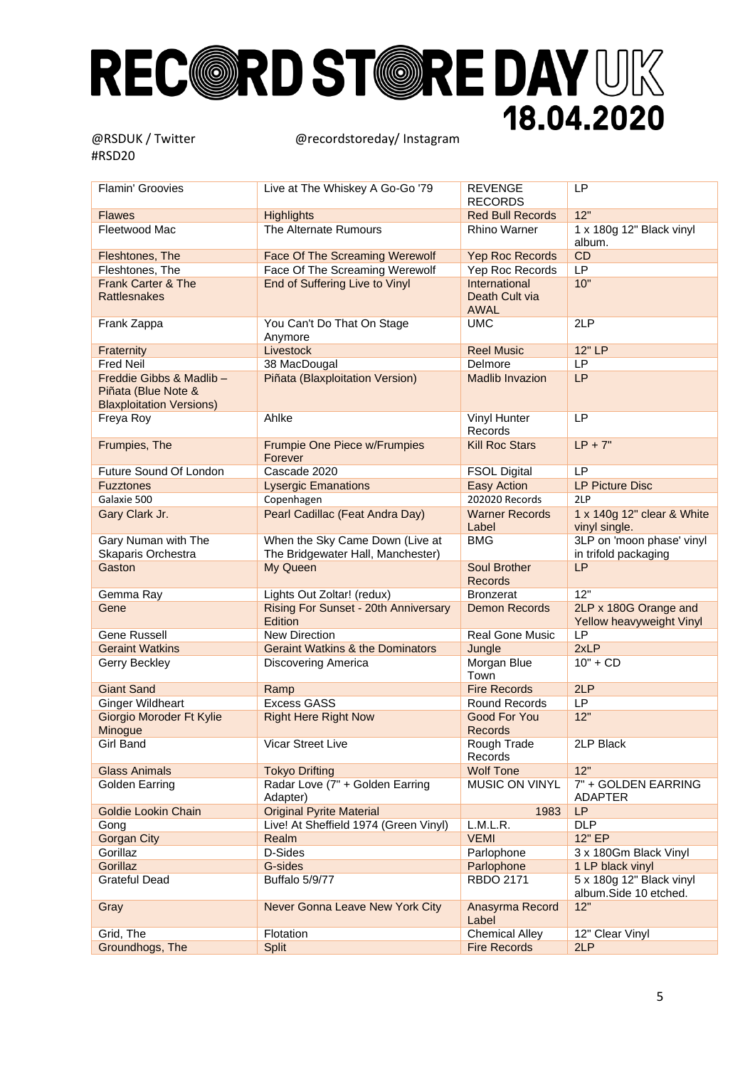| Flamin' Groovies                                                                   | Live at The Whiskey A Go-Go '79                                      | <b>REVENGE</b><br><b>RECORDS</b>               | <b>LP</b>                                         |
|------------------------------------------------------------------------------------|----------------------------------------------------------------------|------------------------------------------------|---------------------------------------------------|
| <b>Flawes</b>                                                                      | <b>Highlights</b>                                                    | <b>Red Bull Records</b>                        | 12"                                               |
| Fleetwood Mac                                                                      | The Alternate Rumours                                                | <b>Rhino Warner</b>                            | 1 x 180g 12" Black vinyl<br>album.                |
| Fleshtones, The                                                                    | Face Of The Screaming Werewolf                                       | <b>Yep Roc Records</b>                         | CD                                                |
| Fleshtones, The                                                                    | Face Of The Screaming Werewolf                                       | <b>Yep Roc Records</b>                         | LP                                                |
| <b>Frank Carter &amp; The</b><br><b>Rattlesnakes</b>                               | End of Suffering Live to Vinyl                                       | International<br>Death Cult via<br><b>AWAL</b> | 10"                                               |
| Frank Zappa                                                                        | You Can't Do That On Stage<br>Anymore                                | UMC                                            | 2LP                                               |
| Fraternity                                                                         | Livestock                                                            | <b>Reel Music</b>                              | 12" LP                                            |
| <b>Fred Neil</b>                                                                   | 38 MacDougal                                                         | Delmore                                        | LP                                                |
| Freddie Gibbs & Madlib -<br>Piñata (Blue Note &<br><b>Blaxploitation Versions)</b> | Piñata (Blaxploitation Version)                                      | <b>Madlib Invazion</b>                         | LP                                                |
| Freya Roy                                                                          | Ahlke                                                                | Vinyl Hunter<br>Records                        | <b>LP</b>                                         |
| Frumpies, The                                                                      | <b>Frumpie One Piece w/Frumpies</b><br>Forever                       | <b>Kill Roc Stars</b>                          | $LP + 7"$                                         |
| Future Sound Of London                                                             | Cascade 2020                                                         | <b>FSOL Digital</b>                            | LP                                                |
| <b>Fuzztones</b>                                                                   | <b>Lysergic Emanations</b>                                           | <b>Easy Action</b>                             | <b>LP Picture Disc</b>                            |
| Galaxie 500                                                                        | Copenhagen                                                           | 202020 Records                                 | 2LP                                               |
| Gary Clark Jr.                                                                     | Pearl Cadillac (Feat Andra Day)                                      | <b>Warner Records</b><br>Label                 | 1 x 140g 12" clear & White<br>vinyl single.       |
| <b>Gary Numan with The</b><br>Skaparis Orchestra                                   | When the Sky Came Down (Live at<br>The Bridgewater Hall, Manchester) | <b>BMG</b>                                     | 3LP on 'moon phase' vinyl<br>in trifold packaging |
| Gaston                                                                             | My Queen                                                             | <b>Soul Brother</b><br><b>Records</b>          | <b>LP</b>                                         |
| Gemma Ray                                                                          | Lights Out Zoltar! (redux)                                           | <b>Bronzerat</b>                               | 12"                                               |
| Gene                                                                               | Rising For Sunset - 20th Anniversary<br>Edition                      | <b>Demon Records</b>                           | 2LP x 180G Orange and<br>Yellow heavyweight Vinyl |
| <b>Gene Russell</b>                                                                | <b>New Direction</b>                                                 | <b>Real Gone Music</b>                         | LP                                                |
| <b>Geraint Watkins</b>                                                             | <b>Geraint Watkins &amp; the Dominators</b>                          | Jungle                                         | 2xLP                                              |
| Gerry Beckley                                                                      | Discovering America                                                  | Morgan Blue<br>Town                            | $10" + CD$                                        |
| <b>Giant Sand</b>                                                                  | Ramp                                                                 | <b>Fire Records</b>                            | 2LP                                               |
| <b>Ginger Wildheart</b>                                                            | <b>Excess GASS</b>                                                   | Round Records                                  | LP                                                |
| <b>Giorgio Moroder Ft Kylie</b><br>Minogue                                         | <b>Right Here Right Now</b>                                          | Good For You<br><b>Records</b>                 | 12"                                               |
| Girl Band                                                                          | <b>Vicar Street Live</b>                                             | Rough Trade<br>Records                         | 2LP Black                                         |
| <b>Glass Animals</b>                                                               | <b>Tokyo Drifting</b>                                                | <b>Wolf Tone</b>                               | 12"                                               |
| Golden Earring                                                                     | Radar Love (7" + Golden Earring<br>Adapter)                          | MUSIC ON VINYL                                 | 7" + GOLDEN EARRING<br>ADAPTER                    |
| <b>Goldie Lookin Chain</b>                                                         | <b>Original Pyrite Material</b>                                      | 1983                                           | LP                                                |
| Gong                                                                               | Live! At Sheffield 1974 (Green Vinyl)                                | L.M.L.R.                                       | <b>DLP</b>                                        |
| <b>Gorgan City</b>                                                                 | Realm                                                                | <b>VEMI</b>                                    | 12" EP                                            |
| Gorillaz                                                                           | D-Sides                                                              | Parlophone                                     | 3 x 180Gm Black Vinyl                             |
| Gorillaz                                                                           | G-sides                                                              | Parlophone                                     | 1 LP black vinyl                                  |
| <b>Grateful Dead</b>                                                               | <b>Buffalo 5/9/77</b>                                                | <b>RBDO 2171</b>                               | 5 x 180g 12" Black vinyl<br>album.Side 10 etched. |
| Gray                                                                               | Never Gonna Leave New York City                                      | Anasyrma Record<br>Label                       | 12"                                               |
| Grid, The                                                                          | Flotation                                                            | <b>Chemical Alley</b>                          | 12" Clear Vinyl                                   |
| Groundhogs, The                                                                    | Split                                                                | <b>Fire Records</b>                            | 2LP                                               |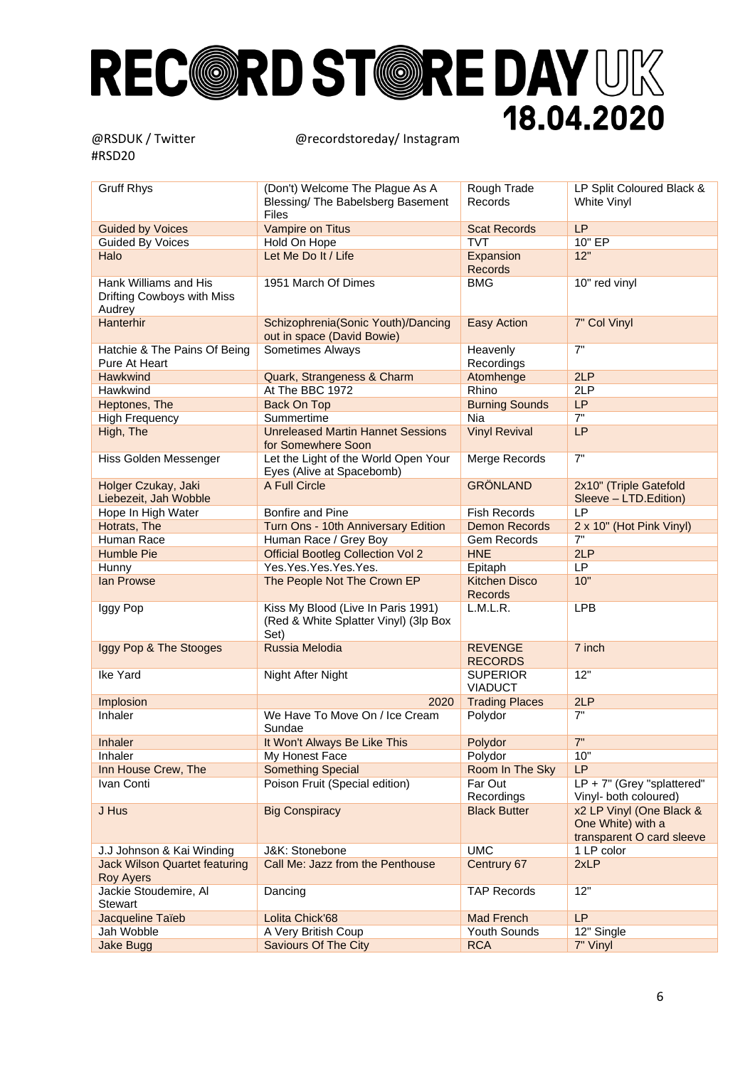| <b>Gruff Rhys</b>                                             | (Don't) Welcome The Plague As A<br>Blessing/ The Babelsberg Basement<br>Files       | Rough Trade<br>Records                 | LP Split Coloured Black &<br>White Vinyl                                   |
|---------------------------------------------------------------|-------------------------------------------------------------------------------------|----------------------------------------|----------------------------------------------------------------------------|
| <b>Guided by Voices</b>                                       | Vampire on Titus                                                                    | <b>Scat Records</b>                    | LP                                                                         |
| <b>Guided By Voices</b>                                       | Hold On Hope                                                                        | <b>TVT</b>                             | 10" EP                                                                     |
| Halo                                                          | Let Me Do It / Life                                                                 | Expansion<br><b>Records</b>            | 12"                                                                        |
| Hank Williams and His<br>Drifting Cowboys with Miss<br>Audrey | 1951 March Of Dimes                                                                 | <b>BMG</b>                             | 10" red vinyl                                                              |
| Hanterhir                                                     | Schizophrenia(Sonic Youth)/Dancing<br>out in space (David Bowie)                    | Easy Action                            | 7" Col Vinyl                                                               |
| Hatchie & The Pains Of Being<br>Pure At Heart                 | Sometimes Always                                                                    | Heavenly<br>Recordings                 | 7"                                                                         |
| <b>Hawkwind</b>                                               | Quark, Strangeness & Charm                                                          | Atomhenge                              | 2LP                                                                        |
| Hawkwind                                                      | At The BBC 1972                                                                     | Rhino                                  | 2LP                                                                        |
| Heptones, The                                                 | <b>Back On Top</b>                                                                  | <b>Burning Sounds</b>                  | LP                                                                         |
| <b>High Frequency</b>                                         | Summertime                                                                          | <b>Nia</b>                             | 7"                                                                         |
| High, The                                                     | <b>Unreleased Martin Hannet Sessions</b><br>for Somewhere Soon                      | <b>Vinyl Revival</b>                   | LP                                                                         |
| Hiss Golden Messenger                                         | Let the Light of the World Open Your<br>Eyes (Alive at Spacebomb)                   | Merge Records                          | 7"                                                                         |
| Holger Czukay, Jaki<br>Liebezeit, Jah Wobble                  | A Full Circle                                                                       | <b>GRÖNLAND</b>                        | 2x10" (Triple Gatefold<br>Sleeve - LTD.Edition)                            |
| Hope In High Water                                            | Bonfire and Pine                                                                    | <b>Fish Records</b>                    | <b>LP</b>                                                                  |
| Hotrats, The                                                  | Turn Ons - 10th Anniversary Edition                                                 | <b>Demon Records</b>                   | 2 x 10" (Hot Pink Vinyl)                                                   |
| Human Race                                                    | Human Race / Grey Boy                                                               | Gem Records                            | $7"$                                                                       |
| <b>Humble Pie</b>                                             | <b>Official Bootleg Collection Vol 2</b>                                            | <b>HNE</b>                             | 2LP                                                                        |
| Hunny                                                         | Yes.Yes.Yes.Yes.Yes.                                                                | Epitaph                                | LP                                                                         |
| lan Prowse                                                    | The People Not The Crown EP                                                         | <b>Kitchen Disco</b><br><b>Records</b> | 10"                                                                        |
| Iggy Pop                                                      | Kiss My Blood (Live In Paris 1991)<br>(Red & White Splatter Vinyl) (3lp Box<br>Set) | L.M.L.R.                               | <b>LPB</b>                                                                 |
| Iggy Pop & The Stooges                                        | Russia Melodia                                                                      | <b>REVENGE</b><br><b>RECORDS</b>       | 7 inch                                                                     |
| Ike Yard                                                      | Night After Night                                                                   | <b>SUPERIOR</b><br><b>VIADUCT</b>      | 12"                                                                        |
| Implosion                                                     | 2020                                                                                | <b>Trading Places</b>                  | 2LP                                                                        |
| Inhaler                                                       | We Have To Move On / Ice Cream<br>Sundae                                            | Polydor                                | 7"                                                                         |
| <b>Inhaler</b>                                                | It Won't Always Be Like This                                                        | Polydor                                | 7"                                                                         |
| Inhaler                                                       | My Honest Face                                                                      | Polydor                                | 10"                                                                        |
| Inn House Crew, The                                           | <b>Something Special</b>                                                            | Room In The Sky                        | LP                                                                         |
| Ivan Conti                                                    | Poison Fruit (Special edition)                                                      | Far Out<br>Recordings                  | $LP + 7"$ (Grey "splattered"<br>Vinyl- both coloured)                      |
| J Hus                                                         | <b>Big Conspiracy</b>                                                               | <b>Black Butter</b>                    | x2 LP Vinyl (One Black &<br>One White) with a<br>transparent O card sleeve |
| J.J Johnson & Kai Winding                                     | J&K: Stonebone                                                                      | <b>UMC</b>                             | 1 LP color                                                                 |
| <b>Jack Wilson Quartet featuring</b><br>Roy Ayers             | Call Me: Jazz from the Penthouse                                                    | Centrury 67                            | 2xLP                                                                       |
| Jackie Stoudemire, Al<br>Stewart                              | Dancing                                                                             | <b>TAP Records</b>                     | 12"                                                                        |
| Jacqueline Taïeb                                              | Lolita Chick'68                                                                     | <b>Mad French</b>                      | LP                                                                         |
| Jah Wobble                                                    | A Very British Coup                                                                 | Youth Sounds                           | 12" Single                                                                 |
| <b>Jake Bugg</b>                                              | <b>Saviours Of The City</b>                                                         | <b>RCA</b>                             | 7" Vinyl                                                                   |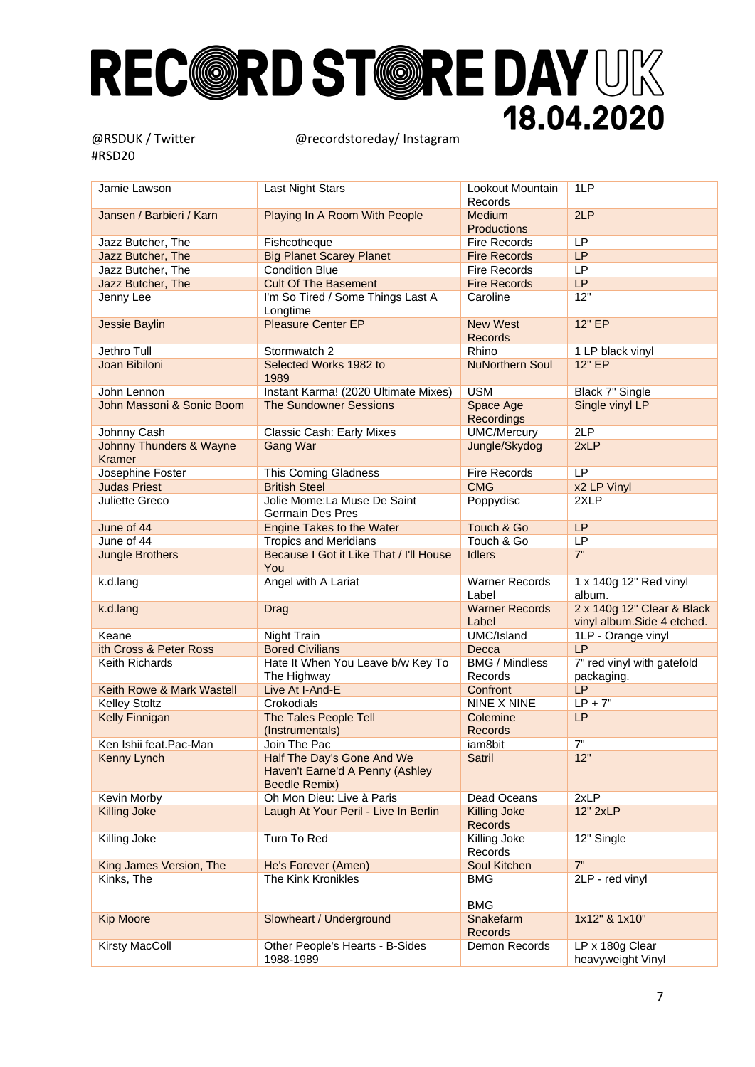| Jamie Lawson              |                                                               |                                           |                                  |
|---------------------------|---------------------------------------------------------------|-------------------------------------------|----------------------------------|
|                           | Last Night Stars                                              | Lookout Mountain<br>Records               | 1LP                              |
| Jansen / Barbieri / Karn  | Playing In A Room With People                                 | Medium<br><b>Productions</b>              | 2LP                              |
| Jazz Butcher, The         | Fishcotheque                                                  | <b>Fire Records</b>                       | <b>LP</b>                        |
| Jazz Butcher, The         | <b>Big Planet Scarey Planet</b>                               | <b>Fire Records</b>                       | <b>LP</b>                        |
| Jazz Butcher, The         | <b>Condition Blue</b>                                         | <b>Fire Records</b>                       | <b>LP</b>                        |
| Jazz Butcher, The         | <b>Cult Of The Basement</b>                                   | <b>Fire Records</b>                       | LP                               |
| Jenny Lee                 | I'm So Tired / Some Things Last A                             | Caroline                                  | 12"                              |
|                           | Longtime                                                      |                                           |                                  |
| <b>Jessie Baylin</b>      | <b>Pleasure Center EP</b>                                     | <b>New West</b><br><b>Records</b>         | 12" EP                           |
| Jethro Tull               | Stormwatch 2                                                  | Rhino                                     | 1 LP black vinyl                 |
| Joan Bibiloni             | Selected Works 1982 to<br>1989                                | <b>NuNorthern Soul</b>                    | 12" EP                           |
| John Lennon               | Instant Karma! (2020 Ultimate Mixes)                          | <b>USM</b>                                | Black 7" Single                  |
| John Massoni & Sonic Boom | <b>The Sundowner Sessions</b>                                 | Space Age                                 | Single vinyl LP                  |
|                           |                                                               | Recordings                                |                                  |
| Johnny Cash               | Classic Cash: Early Mixes                                     | <b>UMC/Mercury</b>                        | 2LP                              |
| Johnny Thunders & Wayne   | <b>Gang War</b>                                               | Jungle/Skydog                             | 2xLP                             |
| <b>Kramer</b>             |                                                               |                                           |                                  |
| Josephine Foster          | This Coming Gladness                                          | <b>Fire Records</b>                       | LP                               |
| <b>Judas Priest</b>       | <b>British Steel</b>                                          | <b>CMG</b>                                | x2 LP Vinyl                      |
| Juliette Greco            | Jolie Mome: La Muse De Saint                                  | Poppydisc                                 | 2XLP                             |
|                           | <b>Germain Des Pres</b>                                       |                                           |                                  |
| June of 44                | <b>Engine Takes to the Water</b>                              | Touch & Go                                | <b>LP</b>                        |
| June of 44                | <b>Tropics and Meridians</b>                                  | Touch & Go                                | LP                               |
| <b>Jungle Brothers</b>    | Because I Got it Like That / I'll House                       | <b>Idlers</b>                             | 7"                               |
|                           | You                                                           |                                           |                                  |
| k.d.lang                  | Angel with A Lariat                                           | <b>Warner Records</b><br>Label            | 1 x 140g 12" Red vinyl<br>album. |
| k.d.lang                  | Drag                                                          | <b>Warner Records</b>                     | 2 x 140g 12" Clear & Black       |
|                           |                                                               | Label                                     | vinyl album.Side 4 etched.       |
| Keane                     | Night Train                                                   | UMC/Island                                | 1LP - Orange vinyl               |
| ith Cross & Peter Ross    | <b>Bored Civilians</b>                                        | Decca                                     | LP                               |
| Keith Richards            |                                                               | <b>BMG / Mindless</b>                     | 7" red vinyl with gatefold       |
|                           | Hate It When You Leave b/w Key To<br>The Highway              | Records                                   | packaging.                       |
| Keith Rowe & Mark Wastell | Live At I-And-E                                               | Confront                                  | LP                               |
| <b>Kelley Stoltz</b>      | Crokodials                                                    | NINE X NINE                               | $LP + 7"$                        |
| <b>Kelly Finnigan</b>     | The Tales People Tell                                         | Colemine                                  | <b>LP</b>                        |
|                           | (Instrumentals)                                               | <b>Records</b>                            |                                  |
| Ken Ishii feat.Pac-Man    | Join The Pac                                                  | iam8bit                                   | 7"                               |
| Kenny Lynch               | Half The Day's Gone And We<br>Haven't Earne'd A Penny (Ashley | Satril                                    | 12"                              |
|                           | <b>Beedle Remix)</b>                                          |                                           |                                  |
| Kevin Morby               | Oh Mon Dieu: Live à Paris                                     | Dead Oceans                               | 2xLP                             |
| <b>Killing Joke</b>       | Laugh At Your Peril - Live In Berlin                          | <b>Killing Joke</b><br>Records            | 12" 2xLP                         |
| Killing Joke              | Turn To Red                                                   | Killing Joke<br>Records                   | 12" Single                       |
| King James Version, The   | He's Forever (Amen)                                           | Soul Kitchen                              | 7"                               |
| Kinks, The                | The Kink Kronikles                                            | <b>BMG</b>                                | 2LP - red vinyl                  |
| <b>Kip Moore</b>          | Slowheart / Underground                                       | <b>BMG</b><br>Snakefarm<br><b>Records</b> | 1x12" & 1x10"                    |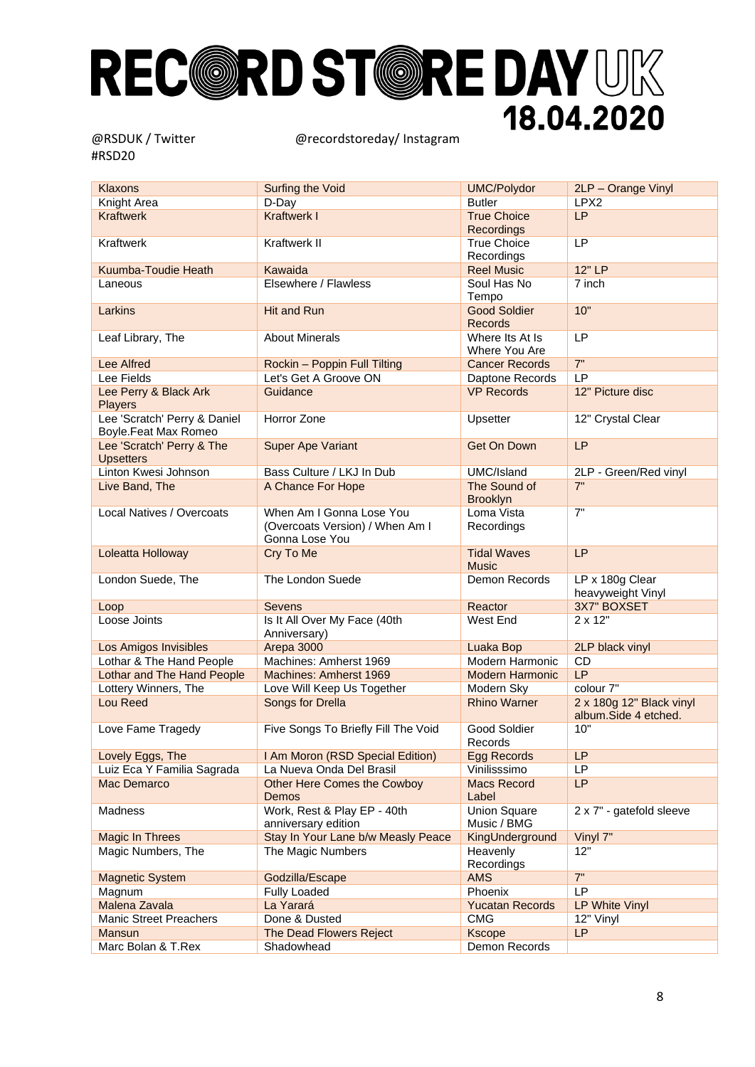| <b>Klaxons</b>                                       | <b>Surfing the Void</b>                                                       | <b>UMC/Polydor</b>                      | 2LP - Orange Vinyl                               |
|------------------------------------------------------|-------------------------------------------------------------------------------|-----------------------------------------|--------------------------------------------------|
| Knight Area                                          | D-Day                                                                         | <b>Butler</b>                           | LPX <sub>2</sub>                                 |
| <b>Kraftwerk</b>                                     | <b>Kraftwerk I</b>                                                            | <b>True Choice</b><br><b>Recordings</b> | <b>LP</b>                                        |
| Kraftwerk                                            | Kraftwerk II                                                                  | <b>True Choice</b><br>Recordings        | LP                                               |
| Kuumba-Toudie Heath                                  | Kawaida                                                                       | <b>Reel Music</b>                       | 12" LP                                           |
| Laneous                                              | Elsewhere / Flawless                                                          | Soul Has No<br>Tempo                    | 7 inch                                           |
| Larkins                                              | <b>Hit and Run</b>                                                            | <b>Good Soldier</b><br><b>Records</b>   | 10"                                              |
| Leaf Library, The                                    | <b>About Minerals</b>                                                         | Where Its At Is<br>Where You Are        | LP                                               |
| <b>Lee Alfred</b>                                    | Rockin - Poppin Full Tilting                                                  | <b>Cancer Records</b>                   | 7"                                               |
| Lee Fields                                           | Let's Get A Groove ON                                                         | Daptone Records                         | <b>LP</b>                                        |
| Lee Perry & Black Ark<br><b>Players</b>              | Guidance                                                                      | <b>VP Records</b>                       | 12" Picture disc                                 |
| Lee 'Scratch' Perry & Daniel<br>Boyle.Feat Max Romeo | Horror Zone                                                                   | Upsetter                                | 12" Crystal Clear                                |
| Lee 'Scratch' Perry & The<br><b>Upsetters</b>        | <b>Super Ape Variant</b>                                                      | Get On Down                             | <b>LP</b>                                        |
| Linton Kwesi Johnson                                 | Bass Culture / LKJ In Dub                                                     | UMC/Island                              | 2LP - Green/Red vinyl                            |
| Live Band, The                                       | A Chance For Hope                                                             | The Sound of<br>Brooklyn                | 7"                                               |
| Local Natives / Overcoats                            | When Am I Gonna Lose You<br>(Overcoats Version) / When Am I<br>Gonna Lose You | Loma Vista<br>Recordings                | 7"                                               |
| Loleatta Holloway                                    | Cry To Me                                                                     | <b>Tidal Waves</b><br><b>Music</b>      | <b>LP</b>                                        |
| London Suede, The                                    | The London Suede                                                              | Demon Records                           | LP x 180g Clear<br>heavyweight Vinyl             |
| Loop                                                 | <b>Sevens</b>                                                                 | Reactor                                 | 3X7" BOXSET                                      |
| Loose Joints                                         | Is It All Over My Face (40th<br>Anniversary)                                  | West End                                | 2 x 12"                                          |
| Los Amigos Invisibles                                | Arepa 3000                                                                    | Luaka Bop                               | 2LP black vinyl                                  |
| Lothar & The Hand People                             | Machines: Amherst 1969                                                        | Modern Harmonic                         | CD                                               |
| <b>Lothar and The Hand People</b>                    | Machines: Amherst 1969                                                        | <b>Modern Harmonic</b>                  | LP                                               |
| Lottery Winners, The                                 | Love Will Keep Us Together                                                    | Modern Sky                              | colour 7"                                        |
| Lou Reed                                             | Songs for Drella                                                              | <b>Rhino Warner</b>                     | 2 x 180g 12" Black vinyl<br>album.Side 4 etched. |
| Love Fame Tragedy                                    | Five Songs To Briefly Fill The Void                                           | Good Soldier<br>Records                 | 10"                                              |
| Lovely Eggs, The                                     | I Am Moron (RSD Special Edition)                                              | Egg Records                             | LP                                               |
| Luiz Eca Y Familia Sagrada                           | La Nueva Onda Del Brasil                                                      | Vinilisssimo                            | LP                                               |
| Mac Demarco                                          | <b>Other Here Comes the Cowboy</b><br>Demos                                   | <b>Macs Record</b><br>Label             | LP                                               |
| Madness                                              | Work, Rest & Play EP - 40th<br>anniversary edition                            | <b>Union Square</b><br>Music / BMG      | 2 x 7" - gatefold sleeve                         |
| <b>Magic In Threes</b>                               | Stay In Your Lane b/w Measly Peace                                            | KingUnderground                         | Vinyl 7"                                         |
| Magic Numbers, The                                   | The Magic Numbers                                                             | Heavenly<br>Recordings                  | 12"                                              |
| <b>Magnetic System</b>                               | Godzilla/Escape                                                               | <b>AMS</b>                              | 7"                                               |
| Magnum                                               | <b>Fully Loaded</b>                                                           | Phoenix                                 | LP                                               |
| Malena Zavala                                        | La Yarará                                                                     | <b>Yucatan Records</b>                  | <b>LP White Vinyl</b>                            |
| <b>Manic Street Preachers</b>                        | Done & Dusted                                                                 | <b>CMG</b>                              | 12" Vinyl                                        |
| Mansun                                               | The Dead Flowers Reject                                                       | <b>Kscope</b>                           | <b>LP</b>                                        |
| Marc Bolan & T.Rex                                   | Shadowhead                                                                    | Demon Records                           |                                                  |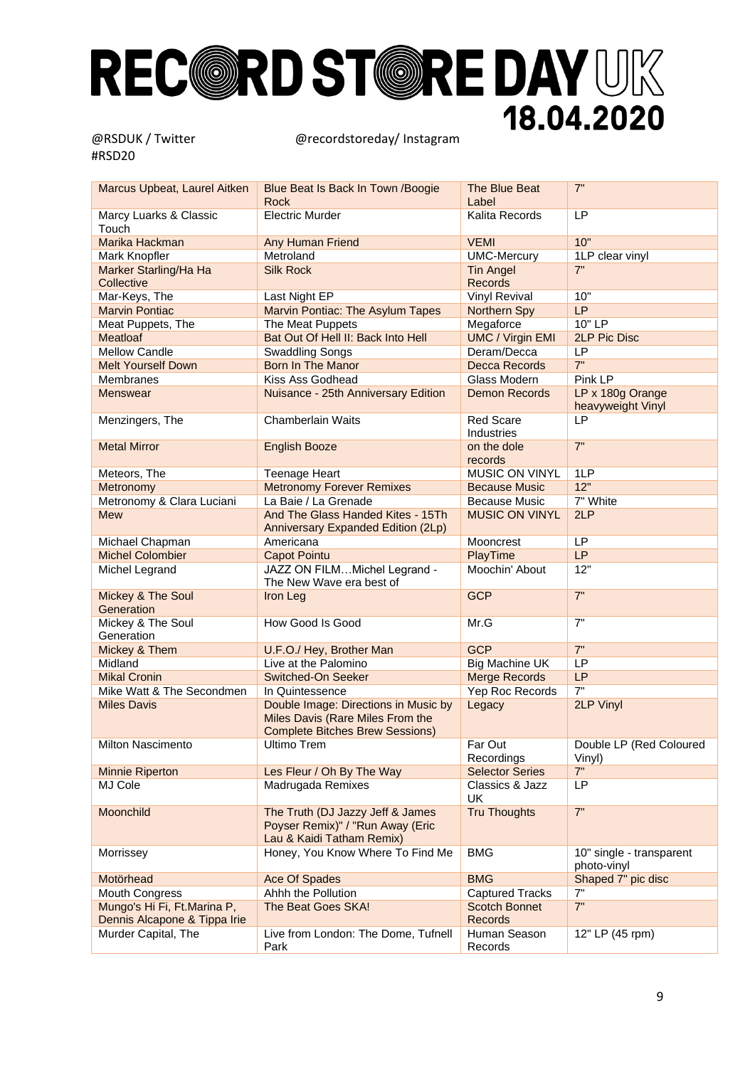| Marcus Upbeat, Laurel Aitken        | Blue Beat Is Back In Town / Boogie<br><b>Rock</b>                                                                  | The Blue Beat<br>Label             | 7"                                      |
|-------------------------------------|--------------------------------------------------------------------------------------------------------------------|------------------------------------|-----------------------------------------|
| Marcy Luarks & Classic<br>Touch     | <b>Electric Murder</b>                                                                                             | Kalita Records                     | LP                                      |
| Marika Hackman                      | Any Human Friend                                                                                                   | <b>VEMI</b>                        | 10"                                     |
| Mark Knopfler                       | Metroland                                                                                                          | <b>UMC-Mercury</b>                 | 1LP clear vinyl                         |
| Marker Starling/Ha Ha<br>Collective | <b>Silk Rock</b>                                                                                                   | <b>Tin Angel</b><br><b>Records</b> | 7"                                      |
| Mar-Keys, The                       | Last Night EP                                                                                                      | <b>Vinyl Revival</b>               | 10"                                     |
| <b>Marvin Pontiac</b>               | Marvin Pontiac: The Asylum Tapes                                                                                   | Northern Spy                       | LP                                      |
| Meat Puppets, The                   | The Meat Puppets                                                                                                   | Megaforce                          | 10" LP                                  |
| Meatloaf                            | Bat Out Of Hell II: Back Into Hell                                                                                 | <b>UMC / Virgin EMI</b>            | <b>2LP Pic Disc</b>                     |
| <b>Mellow Candle</b>                | <b>Swaddling Songs</b>                                                                                             | Deram/Decca                        | <b>LP</b>                               |
| <b>Melt Yourself Down</b>           | <b>Born In The Manor</b>                                                                                           | Decca Records                      | 7"                                      |
| Membranes                           | Kiss Ass Godhead                                                                                                   | Glass Modern                       | Pink LP                                 |
| <b>Menswear</b>                     | Nuisance - 25th Anniversary Edition                                                                                | <b>Demon Records</b>               | LP x 180g Orange                        |
|                                     |                                                                                                                    |                                    | heavyweight Vinyl                       |
| Menzingers, The                     | Chamberlain Waits                                                                                                  | <b>Red Scare</b><br>Industries     | <b>LP</b>                               |
| <b>Metal Mirror</b>                 | <b>English Booze</b>                                                                                               | on the dole<br>records             | 7"                                      |
| Meteors, The                        | <b>Teenage Heart</b>                                                                                               | <b>MUSIC ON VINYL</b>              | 1LP                                     |
| Metronomy                           | <b>Metronomy Forever Remixes</b>                                                                                   | <b>Because Music</b>               | 12"                                     |
| Metronomy & Clara Luciani           | La Baie / La Grenade                                                                                               | <b>Because Music</b>               | 7" White                                |
| Mew                                 | And The Glass Handed Kites - 15Th<br>Anniversary Expanded Edition (2Lp)                                            | <b>MUSIC ON VINYL</b>              | 2LP                                     |
| Michael Chapman                     | Americana                                                                                                          | Mooncrest                          | LP                                      |
| <b>Michel Colombier</b>             | <b>Capot Pointu</b>                                                                                                | PlayTime                           | LP                                      |
| Michel Legrand                      | JAZZ ON FILMMichel Legrand -<br>The New Wave era best of                                                           | Moochin' About                     | 12"                                     |
| Mickey & The Soul<br>Generation     | Iron Leg                                                                                                           | <b>GCP</b>                         | 7"                                      |
| Mickey & The Soul<br>Generation     | How Good Is Good                                                                                                   | Mr.G                               | 7"                                      |
| Mickey & Them                       | U.F.O./ Hey, Brother Man                                                                                           | <b>GCP</b>                         | 7"                                      |
| Midland                             | Live at the Palomino                                                                                               | <b>Big Machine UK</b>              | <b>LP</b>                               |
| <b>Mikal Cronin</b>                 | Switched-On Seeker                                                                                                 | <b>Merge Records</b>               | <b>LP</b>                               |
| Mike Watt & The Secondmen           | In Quintessence                                                                                                    | Yep Roc Records                    | 7"                                      |
| <b>Miles Davis</b>                  | Double Image: Directions in Music by<br>Miles Davis (Rare Miles From the<br><b>Complete Bitches Brew Sessions)</b> | Legacy                             | 2LP Vinyl                               |
| Milton Nascimento                   | Ultimo Trem                                                                                                        | Far Out<br>Recordings              | Double LP (Red Coloured<br>Vinyl)       |
| <b>Minnie Riperton</b>              | Les Fleur / Oh By The Way                                                                                          | <b>Selector Series</b>             | 7"                                      |
| MJ Cole                             | Madrugada Remixes                                                                                                  | Classics & Jazz<br>UK              | LP                                      |
| Moonchild                           | The Truth (DJ Jazzy Jeff & James<br>Poyser Remix)" / "Run Away (Eric<br>Lau & Kaidi Tatham Remix)                  | <b>Tru Thoughts</b>                | 7"                                      |
| Morrissey                           | Honey, You Know Where To Find Me                                                                                   | <b>BMG</b>                         | 10" single - transparent<br>photo-vinyl |
| Motörhead                           | Ace Of Spades                                                                                                      | <b>BMG</b>                         | Shaped 7" pic disc                      |
| <b>Mouth Congress</b>               | Ahhh the Pollution                                                                                                 | <b>Captured Tracks</b>             | 7"                                      |
| Mungo's Hi Fi, Ft.Marina P,         | The Beat Goes SKA!                                                                                                 | <b>Scotch Bonnet</b>               | 7"                                      |
| Dennis Alcapone & Tippa Irie        |                                                                                                                    | <b>Records</b>                     |                                         |
| Murder Capital, The                 | Live from London: The Dome, Tufnell<br>Park                                                                        | Human Season<br>Records            | 12" LP (45 rpm)                         |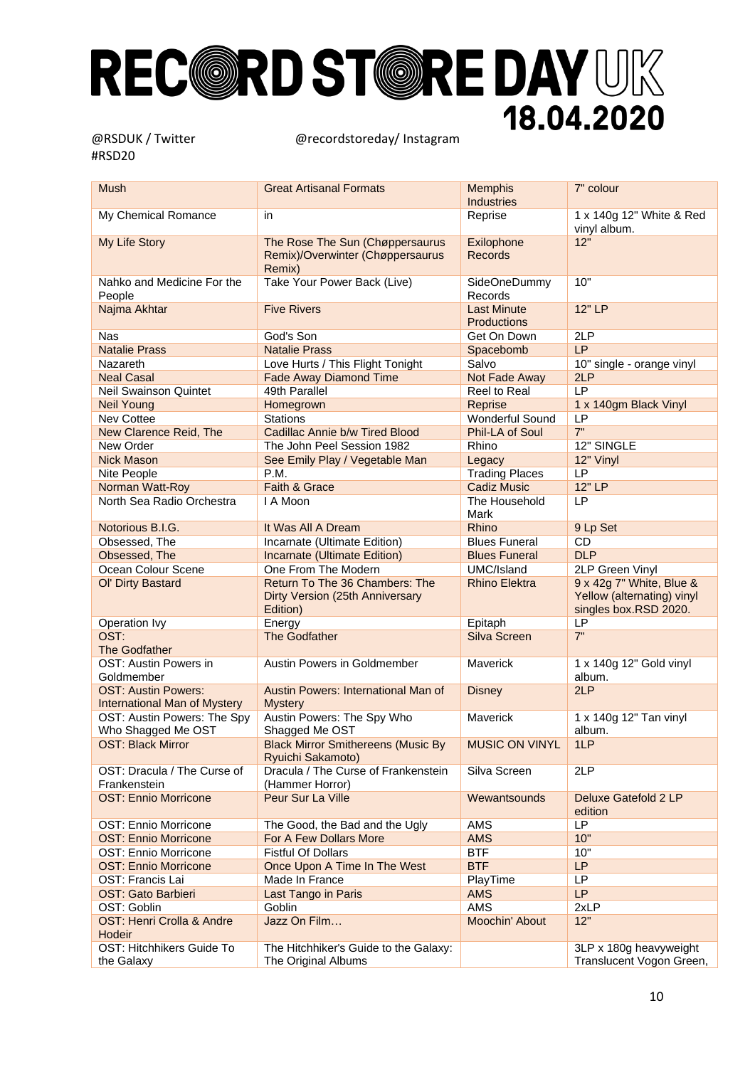| <b>Mush</b>                                                       | <b>Great Artisanal Formats</b>                                                | <b>Memphis</b>                           | 7" colour                                                                       |
|-------------------------------------------------------------------|-------------------------------------------------------------------------------|------------------------------------------|---------------------------------------------------------------------------------|
|                                                                   |                                                                               | <b>Industries</b>                        |                                                                                 |
| My Chemical Romance                                               | in                                                                            | Reprise                                  | 1 x 140g 12" White & Red<br>vinyl album.                                        |
| My Life Story                                                     | The Rose The Sun (Chøppersaurus                                               | Exilophone                               | 12"                                                                             |
|                                                                   | Remix)/Overwinter (Chøppersaurus<br>Remix)                                    | <b>Records</b>                           |                                                                                 |
| Nahko and Medicine For the<br>People                              | Take Your Power Back (Live)                                                   | SideOneDummy<br>Records                  | 10"                                                                             |
| Najma Akhtar                                                      | <b>Five Rivers</b>                                                            | <b>Last Minute</b><br><b>Productions</b> | 12" LP                                                                          |
| <b>Nas</b>                                                        | God's Son                                                                     | Get On Down                              | 2LP                                                                             |
| <b>Natalie Prass</b>                                              | <b>Natalie Prass</b>                                                          | Spacebomb                                | LP                                                                              |
| <b>Nazareth</b>                                                   | Love Hurts / This Flight Tonight                                              | Salvo                                    | 10" single - orange vinyl                                                       |
| <b>Neal Casal</b>                                                 | <b>Fade Away Diamond Time</b>                                                 | Not Fade Away                            | 2LP                                                                             |
| <b>Neil Swainson Quintet</b>                                      | 49th Parallel                                                                 | <b>Reel to Real</b>                      | LP                                                                              |
| <b>Neil Young</b>                                                 | Homegrown                                                                     | Reprise                                  | 1 x 140gm Black Vinyl                                                           |
| Nev Cottee                                                        | <b>Stations</b>                                                               | Wonderful Sound                          | LP                                                                              |
| New Clarence Reid, The                                            | Cadillac Annie b/w Tired Blood                                                | Phil-LA of Soul                          | 7"                                                                              |
| New Order                                                         | The John Peel Session 1982                                                    | Rhino                                    | 12" SINGLE                                                                      |
| <b>Nick Mason</b>                                                 | See Emily Play / Vegetable Man                                                | Legacy                                   | 12" Vinyl                                                                       |
| Nite People                                                       | P.M.                                                                          | <b>Trading Places</b>                    | LP                                                                              |
| Norman Watt-Roy                                                   | Faith & Grace                                                                 | <b>Cadiz Music</b>                       | 12"LP                                                                           |
|                                                                   | I A Moon                                                                      |                                          | LP                                                                              |
| North Sea Radio Orchestra                                         |                                                                               | The Household<br>Mark                    |                                                                                 |
| Notorious B.I.G.                                                  | It Was All A Dream                                                            | Rhino                                    | 9 Lp Set                                                                        |
| Obsessed, The                                                     | Incarnate (Ultimate Edition)                                                  | <b>Blues Funeral</b>                     | <b>CD</b>                                                                       |
| Obsessed, The                                                     | Incarnate (Ultimate Edition)                                                  | <b>Blues Funeral</b>                     | <b>DLP</b>                                                                      |
| Ocean Colour Scene                                                | One From The Modern                                                           | UMC/Island                               | 2LP Green Vinyl                                                                 |
| Ol' Dirty Bastard                                                 | Return To The 36 Chambers: The<br>Dirty Version (25th Anniversary<br>Edition) | <b>Rhino Elektra</b>                     | 9 x 42g 7" White, Blue &<br>Yellow (alternating) vinyl<br>singles box.RSD 2020. |
| Operation Ivy                                                     | Energy                                                                        | Epitaph                                  | LP                                                                              |
| OST:                                                              | The Godfather                                                                 | Silva Screen                             | 7"                                                                              |
| The Godfather                                                     |                                                                               | Maverick                                 |                                                                                 |
| OST: Austin Powers in<br>Goldmember                               | Austin Powers in Goldmember                                                   |                                          | 1 x 140g 12" Gold vinyl<br>album.                                               |
| <b>OST: Austin Powers:</b><br><b>International Man of Mystery</b> | Austin Powers: International Man of<br><b>Mystery</b>                         | <b>Disney</b>                            | 2LP                                                                             |
| OST: Austin Powers: The Spy<br>Who Shagged Me OST                 | Austin Powers: The Spy Who<br>Shagged Me OST                                  | Maverick                                 | 1 x 140g 12" Tan vinyl<br>album.                                                |
| <b>OST: Black Mirror</b>                                          | <b>Black Mirror Smithereens (Music By</b><br>Ryuichi Sakamoto)                | <b>MUSIC ON VINYL</b>                    | 1LP                                                                             |
| OST: Dracula / The Curse of<br>Frankenstein                       | Dracula / The Curse of Frankenstein<br>(Hammer Horror)                        | Silva Screen                             | 2LP                                                                             |
| <b>OST: Ennio Morricone</b>                                       | Peur Sur La Ville                                                             | Wewantsounds                             | Deluxe Gatefold 2 LP<br>edition                                                 |
| OST: Ennio Morricone                                              | The Good, the Bad and the Ugly                                                | AMS                                      | LP                                                                              |
| <b>OST: Ennio Morricone</b>                                       | For A Few Dollars More                                                        | <b>AMS</b>                               | 10"                                                                             |
| OST: Ennio Morricone                                              | <b>Fistful Of Dollars</b>                                                     | <b>BTF</b>                               | 10"                                                                             |
| <b>OST: Ennio Morricone</b>                                       | Once Upon A Time In The West                                                  | <b>BTF</b>                               | LP                                                                              |
| OST: Francis Lai                                                  | Made In France                                                                | PlayTime                                 | LP                                                                              |
| OST: Gato Barbieri                                                | Last Tango in Paris                                                           | <b>AMS</b>                               | <b>LP</b>                                                                       |
| OST: Goblin                                                       | Goblin                                                                        | AMS                                      | 2xLP                                                                            |
|                                                                   | Jazz On Film                                                                  |                                          | 12"                                                                             |
| OST: Henri Crolla & Andre<br>Hodeir                               |                                                                               | Moochin' About                           |                                                                                 |
| OST: Hitchhikers Guide To                                         | The Hitchhiker's Guide to the Galaxy:                                         |                                          | 3LP x 180g heavyweight                                                          |
| the Galaxy                                                        | The Original Albums                                                           |                                          | Translucent Vogon Green,                                                        |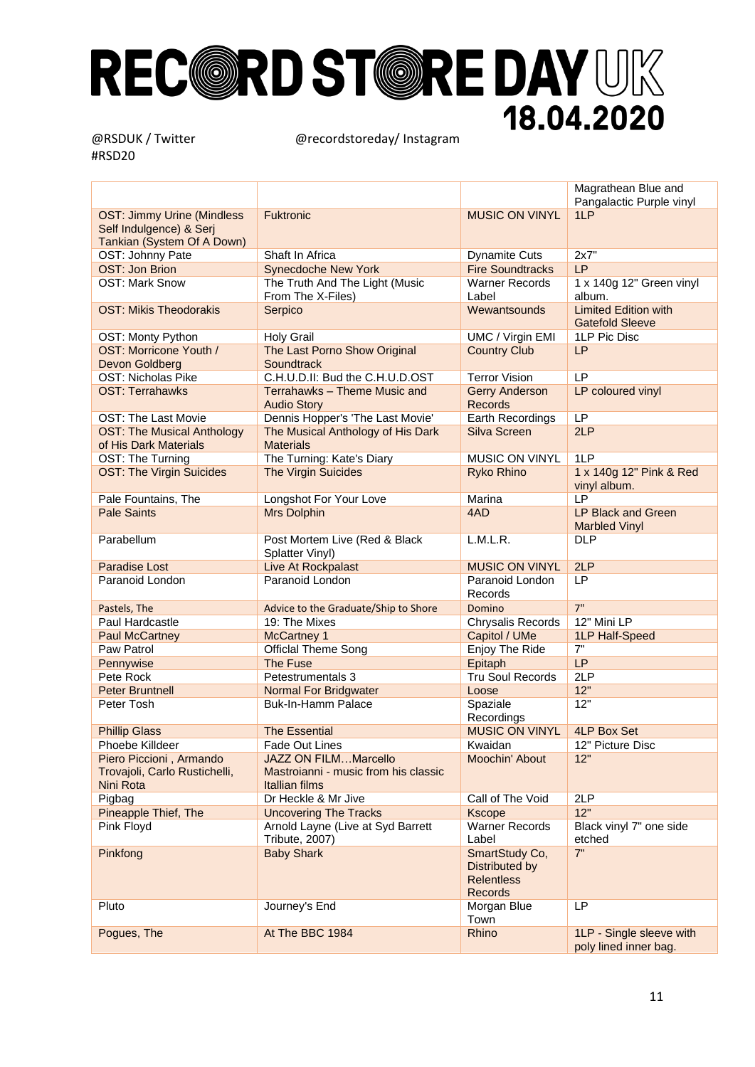|                                   |                                                            |                                                                         | Magrathean Blue and<br>Pangalactic Purple vinyl       |
|-----------------------------------|------------------------------------------------------------|-------------------------------------------------------------------------|-------------------------------------------------------|
| <b>OST: Jimmy Urine (Mindless</b> | <b>Fuktronic</b>                                           | <b>MUSIC ON VINYL</b>                                                   | 1LP                                                   |
| Self Indulgence) & Serj           |                                                            |                                                                         |                                                       |
| Tankian (System Of A Down)        |                                                            |                                                                         |                                                       |
| OST: Johnny Pate                  | Shaft In Africa                                            | <b>Dynamite Cuts</b>                                                    | 2x7"                                                  |
| <b>OST: Jon Brion</b>             | <b>Synecdoche New York</b>                                 | <b>Fire Soundtracks</b>                                                 | LP                                                    |
| <b>OST: Mark Snow</b>             | The Truth And The Light (Music<br>From The X-Files)        | <b>Warner Records</b><br>Label                                          | 1 x 140g 12" Green vinyl<br>album.                    |
| <b>OST: Mikis Theodorakis</b>     | Serpico                                                    | Wewantsounds                                                            | <b>Limited Edition with</b><br><b>Gatefold Sleeve</b> |
| OST: Monty Python                 | <b>Holy Grail</b>                                          | <b>UMC / Virgin EMI</b>                                                 | 1LP Pic Disc                                          |
| OST: Morricone Youth /            | The Last Porno Show Original                               | <b>Country Club</b>                                                     | <b>LP</b>                                             |
| Devon Goldberg                    | Soundtrack                                                 |                                                                         |                                                       |
| OST: Nicholas Pike                | C.H.U.D.II: Bud the C.H.U.D.OST                            | <b>Terror Vision</b>                                                    | LP                                                    |
| <b>OST: Terrahawks</b>            | Terrahawks - Theme Music and<br><b>Audio Story</b>         | <b>Gerry Anderson</b><br><b>Records</b>                                 | LP coloured vinyl                                     |
| <b>OST: The Last Movie</b>        | Dennis Hopper's 'The Last Movie'                           | Earth Recordings                                                        | LP                                                    |
| <b>OST: The Musical Anthology</b> | The Musical Anthology of His Dark                          | Silva Screen                                                            | 2LP                                                   |
| of His Dark Materials             | <b>Materials</b>                                           |                                                                         |                                                       |
| OST: The Turning                  | The Turning: Kate's Diary                                  | MUSIC ON VINYL                                                          | 1LP                                                   |
| <b>OST: The Virgin Suicides</b>   | The Virgin Suicides                                        | Ryko Rhino                                                              | 1 x 140g 12" Pink & Red<br>vinyl album.               |
| Pale Fountains, The               | Longshot For Your Love                                     | Marina                                                                  | LP                                                    |
| <b>Pale Saints</b>                | <b>Mrs Dolphin</b>                                         | 4AD                                                                     | <b>LP Black and Green</b><br><b>Marbled Vinyl</b>     |
| Parabellum                        | Post Mortem Live (Red & Black<br>Splatter Vinyl)           | L.M.L.R.                                                                | <b>DLP</b>                                            |
| <b>Paradise Lost</b>              | Live At Rockpalast                                         | <b>MUSIC ON VINYL</b>                                                   | 2LP                                                   |
| Paranoid London                   | Paranoid London                                            | Paranoid London<br>Records                                              | LP                                                    |
| Pastels, The                      | Advice to the Graduate/Ship to Shore                       | Domino                                                                  | 7"                                                    |
| Paul Hardcastle                   | 19: The Mixes                                              | Chrysalis Records                                                       | 12" Mini LP                                           |
| <b>Paul McCartney</b>             | <b>McCartney 1</b>                                         | Capitol / UMe                                                           | 1LP Half-Speed                                        |
| Paw Patrol                        | <b>Official Theme Song</b>                                 | Enjoy The Ride                                                          | 7"                                                    |
| Pennywise                         | The Fuse                                                   | Epitaph                                                                 | LP                                                    |
| Pete Rock                         | Petestrumentals 3                                          | <b>Tru Soul Records</b>                                                 | 2LP                                                   |
| <b>Peter Bruntnell</b>            | <b>Normal For Bridgwater</b>                               | Loose                                                                   | 12"                                                   |
| Peter Tosh                        | <b>Buk-In-Hamm Palace</b>                                  | Spaziale                                                                | 12"                                                   |
|                                   |                                                            | Recordings                                                              |                                                       |
| <b>Phillip Glass</b>              | <b>The Essential</b>                                       | <b>MUSIC ON VINYL</b>                                                   | <b>4LP Box Set</b>                                    |
| Phoebe Killdeer                   | <b>Fade Out Lines</b>                                      | Kwaidan                                                                 | 12" Picture Disc                                      |
| Piero Piccioni, Armando           | <b>JAZZ ON FILMMarcello</b>                                | Moochin' About                                                          | 12"                                                   |
| Trovajoli, Carlo Rustichelli,     | Mastroianni - music from his classic                       |                                                                         |                                                       |
| Nini Rota                         | Itallian films                                             |                                                                         |                                                       |
| Pigbag                            | Dr Heckle & Mr Jive                                        | Call of The Void                                                        | 2LP                                                   |
| Pineapple Thief, The              | <b>Uncovering The Tracks</b>                               | <b>Kscope</b>                                                           | 12"                                                   |
| Pink Floyd                        | Arnold Layne (Live at Syd Barrett<br><b>Tribute, 2007)</b> | <b>Warner Records</b><br>Label                                          | Black vinyl 7" one side<br>etched                     |
| Pinkfong                          | <b>Baby Shark</b>                                          | SmartStudy Co,<br>Distributed by<br><b>Relentless</b><br><b>Records</b> | 7"                                                    |
| Pluto                             | Journey's End                                              | Morgan Blue<br>Town                                                     | <b>LP</b>                                             |
| Pogues, The                       | At The BBC 1984                                            | Rhino                                                                   | 1LP - Single sleeve with<br>poly lined inner bag.     |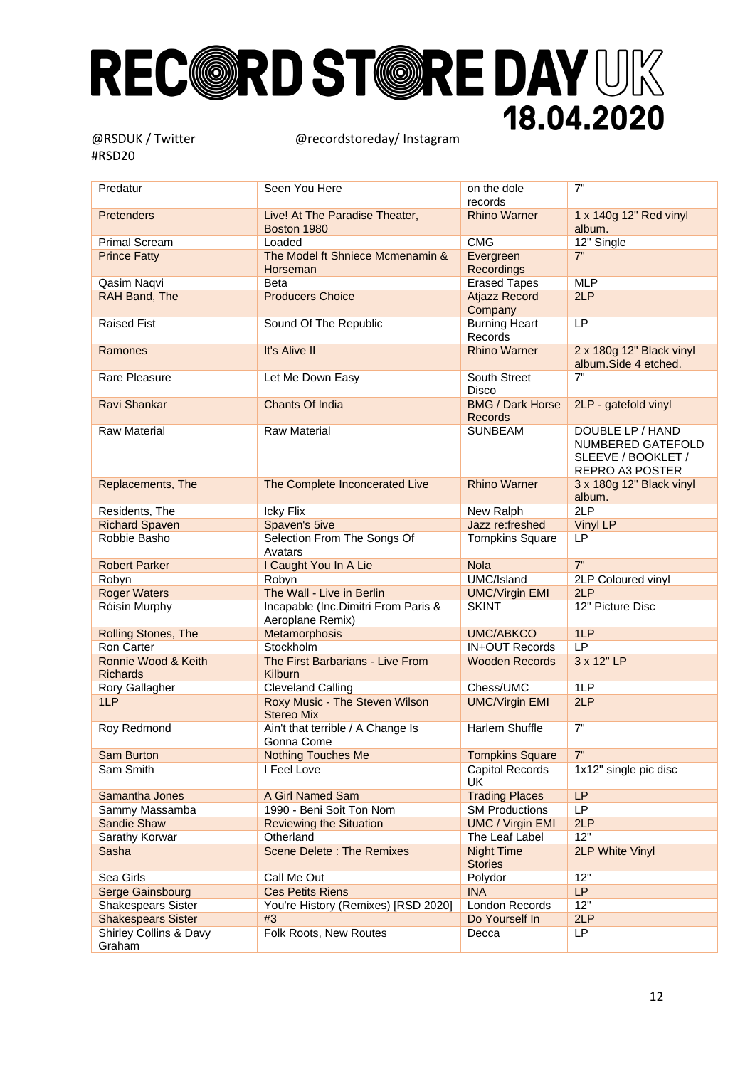| Predatur                               | Seen You Here                                           | on the dole<br>records                    | 7"                                                                             |
|----------------------------------------|---------------------------------------------------------|-------------------------------------------|--------------------------------------------------------------------------------|
| Pretenders                             | Live! At The Paradise Theater,<br>Boston 1980           | <b>Rhino Warner</b>                       | 1 x 140g 12" Red vinyl<br>album.                                               |
| <b>Primal Scream</b>                   | Loaded                                                  | <b>CMG</b>                                | 12" Single                                                                     |
| <b>Prince Fatty</b>                    | The Model ft Shniece Mcmenamin &<br>Horseman            | Evergreen<br>Recordings                   | 7"                                                                             |
| Qasim Naqvi                            | Beta                                                    | <b>Erased Tapes</b>                       | <b>MLP</b>                                                                     |
| RAH Band, The                          | <b>Producers Choice</b>                                 | <b>Atjazz Record</b><br>Company           | 2LP                                                                            |
| <b>Raised Fist</b>                     | Sound Of The Republic                                   | <b>Burning Heart</b><br>Records           | LP                                                                             |
| Ramones                                | It's Alive II                                           | <b>Rhino Warner</b>                       | 2 x 180g 12" Black vinyl<br>album.Side 4 etched.                               |
| Rare Pleasure                          | Let Me Down Easy                                        | South Street<br><b>Disco</b>              | 7"                                                                             |
| Ravi Shankar                           | <b>Chants Of India</b>                                  | <b>BMG / Dark Horse</b><br><b>Records</b> | 2LP - gatefold vinyl                                                           |
| <b>Raw Material</b>                    | <b>Raw Material</b>                                     | <b>SUNBEAM</b>                            | DOUBLE LP / HAND<br>NUMBERED GATEFOLD<br>SLEEVE / BOOKLET /<br>REPRO A3 POSTER |
| Replacements, The                      | The Complete Inconcerated Live                          | <b>Rhino Warner</b>                       | 3 x 180g 12" Black vinyl<br>album.                                             |
| Residents, The                         | Icky Flix                                               | New Ralph                                 | 2LP                                                                            |
| <b>Richard Spaven</b>                  | Spaven's 5ive                                           | Jazz re:freshed                           | Vinyl LP                                                                       |
| Robbie Basho                           | Selection From The Songs Of<br>Avatars                  | <b>Tompkins Square</b>                    | LP                                                                             |
| <b>Robert Parker</b>                   | I Caught You In A Lie                                   | <b>Nola</b>                               | 7"                                                                             |
| Robyn                                  | Robyn                                                   | UMC/Island                                | 2LP Coloured vinyl                                                             |
| <b>Roger Waters</b>                    | The Wall - Live in Berlin                               | <b>UMC/Virgin EMI</b>                     | 2LP                                                                            |
| Róisín Murphy                          | Incapable (Inc.Dimitri From Paris &<br>Aeroplane Remix) | <b>SKINT</b>                              | 12" Picture Disc                                                               |
| Rolling Stones, The                    | Metamorphosis                                           | <b>UMC/ABKCO</b>                          | 1LP                                                                            |
| Ron Carter                             | Stockholm                                               | <b>IN+OUT Records</b>                     | LP                                                                             |
| Ronnie Wood & Keith<br><b>Richards</b> | The First Barbarians - Live From<br><b>Kilburn</b>      | <b>Wooden Records</b>                     | 3 x 12" LP                                                                     |
| Rory Gallagher                         | <b>Cleveland Calling</b>                                | Chess/UMC                                 | 1LP                                                                            |
| 1LP                                    | Roxy Music - The Steven Wilson<br><b>Stereo Mix</b>     | <b>UMC/Virgin EMI</b>                     | 2LP                                                                            |
| Roy Redmond                            | Ain't that terrible / A Change Is<br>Gonna Come         | <b>Harlem Shuffle</b>                     | 7"                                                                             |
| Sam Burton                             | <b>Nothing Touches Me</b>                               | <b>Tompkins Square</b>                    | 7"                                                                             |
| Sam Smith                              | I Feel Love                                             | Capitol Records<br>UK                     | 1x12" single pic disc                                                          |
| Samantha Jones                         | A Girl Named Sam                                        | <b>Trading Places</b>                     | <b>LP</b>                                                                      |
| Sammy Massamba                         | 1990 - Beni Soit Ton Nom                                | <b>SM Productions</b>                     | LP                                                                             |
| Sandie Shaw                            | <b>Reviewing the Situation</b>                          | <b>UMC / Virgin EMI</b>                   | 2LP                                                                            |
| Sarathy Korwar                         | Otherland                                               | The Leaf Label                            | 12"                                                                            |
| Sasha                                  | <b>Scene Delete: The Remixes</b>                        | <b>Night Time</b><br><b>Stories</b>       | 2LP White Vinyl                                                                |
| Sea Girls                              | Call Me Out                                             | Polydor                                   | 12"                                                                            |
| Serge Gainsbourg                       | <b>Ces Petits Riens</b>                                 | <b>INA</b>                                | LP                                                                             |
| <b>Shakespears Sister</b>              | You're History (Remixes) [RSD 2020]                     | London Records                            | 12"                                                                            |
| <b>Shakespears Sister</b>              | #3                                                      | Do Yourself In                            | 2LP                                                                            |
| Shirley Collins & Davy<br>Graham       | Folk Roots, New Routes                                  | Decca                                     | LP                                                                             |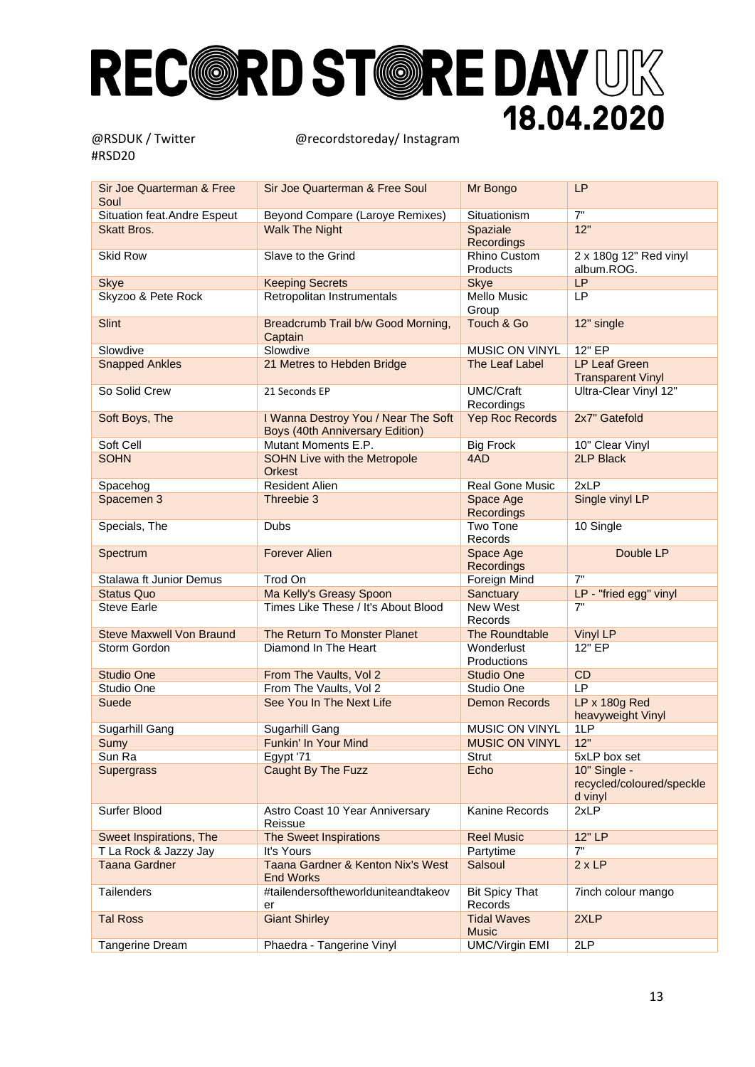| Sir Joe Quarterman & Free<br>Soul | Sir Joe Quarterman & Free Soul                                                | Mr Bongo                           | <b>LP</b>                                            |
|-----------------------------------|-------------------------------------------------------------------------------|------------------------------------|------------------------------------------------------|
| Situation feat.Andre Espeut       | Beyond Compare (Laroye Remixes)                                               | Situationism                       | 7"                                                   |
| <b>Skatt Bros.</b>                | <b>Walk The Night</b>                                                         | Spaziale<br>Recordings             | 12"                                                  |
| <b>Skid Row</b>                   | Slave to the Grind                                                            | Rhino Custom<br>Products           | 2 x 180g 12" Red vinyl<br>album.ROG.                 |
| <b>Skye</b>                       | <b>Keeping Secrets</b>                                                        | <b>Skye</b>                        | LP                                                   |
| Skyzoo & Pete Rock                | Retropolitan Instrumentals                                                    | Mello Music<br>Group               | <b>LP</b>                                            |
| <b>Slint</b>                      | Breadcrumb Trail b/w Good Morning,<br>Captain                                 | Touch & Go                         | 12" single                                           |
| Slowdive                          | Slowdive                                                                      | MUSIC ON VINYL                     | 12" EP                                               |
| <b>Snapped Ankles</b>             | 21 Metres to Hebden Bridge                                                    | The Leaf Label                     | <b>LP Leaf Green</b><br><b>Transparent Vinyl</b>     |
| So Solid Crew                     | 21 Seconds EP                                                                 | <b>UMC/Craft</b><br>Recordings     | Ultra-Clear Vinyl 12"                                |
| Soft Boys, The                    | I Wanna Destroy You / Near The Soft<br><b>Boys (40th Anniversary Edition)</b> | Yep Roc Records                    | 2x7" Gatefold                                        |
| Soft Cell                         | Mutant Moments E.P.                                                           | <b>Big Frock</b>                   | 10" Clear Vinyl                                      |
| <b>SOHN</b>                       | <b>SOHN Live with the Metropole</b><br><b>Orkest</b>                          | 4AD                                | <b>2LP Black</b>                                     |
| Spacehog                          | <b>Resident Alien</b>                                                         | <b>Real Gone Music</b>             | 2xLP                                                 |
| Spacemen 3                        | Threebie 3                                                                    | Space Age<br><b>Recordings</b>     | Single vinyl LP                                      |
| Specials, The                     | <b>Dubs</b>                                                                   | Two Tone<br>Records                | 10 Single                                            |
| Spectrum                          | <b>Forever Alien</b>                                                          | Space Age<br><b>Recordings</b>     | Double LP                                            |
| Stalawa ft Junior Demus           | Trod On                                                                       | Foreign Mind                       | 7"                                                   |
| <b>Status Quo</b>                 | Ma Kelly's Greasy Spoon                                                       | Sanctuary                          | LP - "fried egg" vinyl                               |
| <b>Steve Earle</b>                | Times Like These / It's About Blood                                           | New West<br>Records                | 7"                                                   |
| <b>Steve Maxwell Von Braund</b>   | The Return To Monster Planet                                                  | The Roundtable                     | <b>Vinyl LP</b>                                      |
| Storm Gordon                      | Diamond In The Heart                                                          | Wonderlust<br>Productions          | 12" EP                                               |
| <b>Studio One</b>                 | From The Vaults, Vol 2                                                        | <b>Studio One</b>                  | CD                                                   |
| Studio One                        | From The Vaults, Vol 2                                                        | Studio One                         | LP                                                   |
| Suede                             | See You In The Next Life                                                      | <b>Demon Records</b>               | LP x 180g Red<br>heavyweight Vinyl                   |
| Sugarhill Gang                    | Sugarhill Gang                                                                | MUSIC ON VINYL                     | 1LP                                                  |
| Sumy                              | Funkin' In Your Mind                                                          | <b>MUSIC ON VINYL</b>              | 12"                                                  |
| Sun Ra                            | Egypt '71                                                                     | Strut                              | 5xLP box set                                         |
| <b>Supergrass</b>                 | Caught By The Fuzz                                                            | Echo                               | 10" Single -<br>recycled/coloured/speckle<br>d vinyl |
| Surfer Blood                      | Astro Coast 10 Year Anniversary<br>Reissue                                    | Kanine Records                     | 2xLP                                                 |
| Sweet Inspirations, The           | The Sweet Inspirations                                                        | <b>Reel Music</b>                  | 12" LP                                               |
| T La Rock & Jazzy Jay             | It's Yours                                                                    | Partytime                          | 7"                                                   |
| <b>Taana Gardner</b>              | Taana Gardner & Kenton Nix's West<br><b>End Works</b>                         | Salsoul                            | 2xLP                                                 |
| Tailenders                        | #tailendersoftheworlduniteandtakeov<br>er                                     | <b>Bit Spicy That</b><br>Records   | 7inch colour mango                                   |
| <b>Tal Ross</b>                   | <b>Giant Shirley</b>                                                          | <b>Tidal Waves</b><br><b>Music</b> | 2XLP                                                 |
| Tangerine Dream                   | Phaedra - Tangerine Vinyl                                                     | <b>UMC/Virgin EMI</b>              | 2LP                                                  |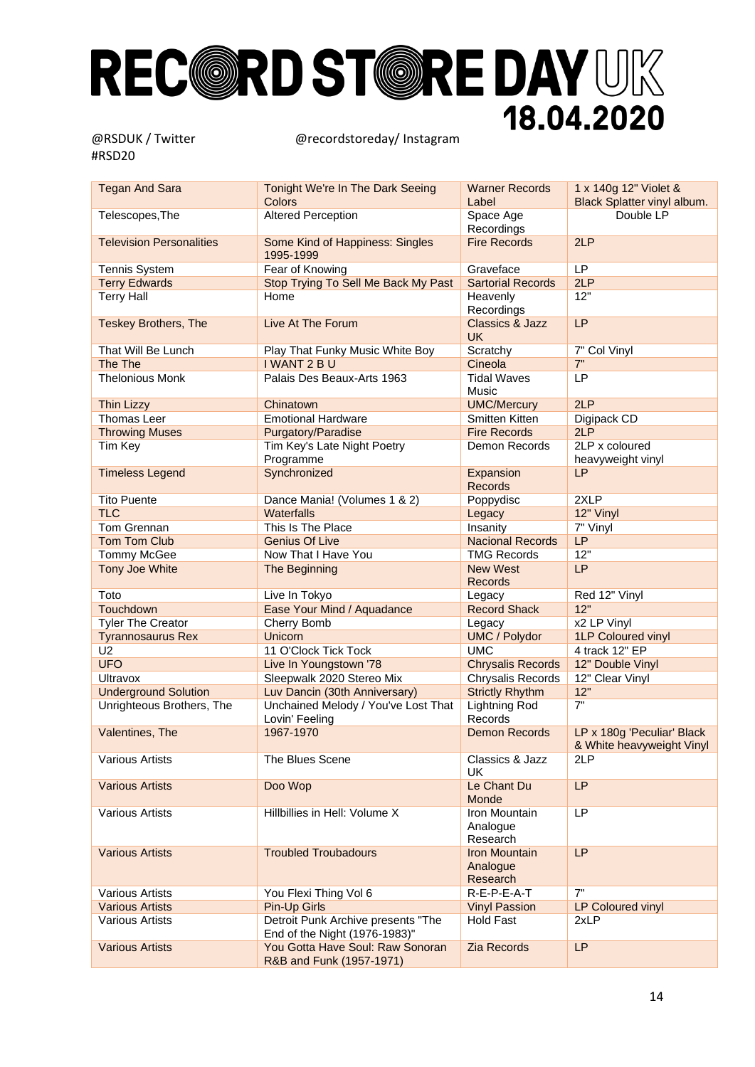| <b>Tegan And Sara</b>           | Tonight We're In The Dark Seeing<br>Colors                          | <b>Warner Records</b><br>Label               | 1 x 140g 12" Violet &<br>Black Splatter vinyl album.    |
|---------------------------------|---------------------------------------------------------------------|----------------------------------------------|---------------------------------------------------------|
| Telescopes, The                 | <b>Altered Perception</b>                                           | Space Age<br>Recordings                      | Double LP                                               |
| <b>Television Personalities</b> | Some Kind of Happiness: Singles<br>1995-1999                        | <b>Fire Records</b>                          | 2LP                                                     |
| <b>Tennis System</b>            | Fear of Knowing                                                     | Graveface                                    | LP                                                      |
| <b>Terry Edwards</b>            | Stop Trying To Sell Me Back My Past                                 | <b>Sartorial Records</b>                     | 2LP                                                     |
| <b>Terry Hall</b>               | Home                                                                | Heavenly                                     | 12"                                                     |
|                                 |                                                                     | Recordings                                   |                                                         |
| <b>Teskey Brothers, The</b>     | Live At The Forum                                                   | <b>Classics &amp; Jazz</b><br><b>UK</b>      | LP                                                      |
| That Will Be Lunch              | Play That Funky Music White Boy                                     | Scratchy                                     | 7" Col Vinyl                                            |
| The The                         | I WANT 2 B U                                                        | Cineola                                      | 7"                                                      |
| <b>Thelonious Monk</b>          | Palais Des Beaux-Arts 1963                                          | <b>Tidal Waves</b><br>Music                  | LP                                                      |
| <b>Thin Lizzy</b>               | Chinatown                                                           | <b>UMC/Mercury</b>                           | 2LP                                                     |
| Thomas Leer                     | <b>Emotional Hardware</b>                                           | Smitten Kitten                               | Digipack CD                                             |
| <b>Throwing Muses</b>           | Purgatory/Paradise                                                  | <b>Fire Records</b>                          | 2LP                                                     |
| Tim Key                         | Tim Key's Late Night Poetry<br>Programme                            | Demon Records                                | 2LP x coloured<br>heavyweight vinyl                     |
| <b>Timeless Legend</b>          | Synchronized                                                        | Expansion<br><b>Records</b>                  | LP                                                      |
| <b>Tito Puente</b>              | Dance Mania! (Volumes 1 & 2)                                        | Poppydisc                                    | 2XLP                                                    |
| <b>TLC</b>                      | <b>Waterfalls</b>                                                   | Legacy                                       | 12" Vinyl                                               |
| Tom Grennan                     | This Is The Place                                                   | Insanity                                     | 7" Vinyl                                                |
| <b>Tom Tom Club</b>             | <b>Genius Of Live</b>                                               | <b>Nacional Records</b>                      | LP                                                      |
| Tommy McGee                     | Now That I Have You                                                 | <b>TMG Records</b>                           | 12"                                                     |
| Tony Joe White                  | The Beginning                                                       | <b>New West</b>                              | LP                                                      |
|                                 |                                                                     | <b>Records</b>                               |                                                         |
| Toto                            | Live In Tokyo                                                       | Legacy                                       | Red 12" Vinyl                                           |
| Touchdown                       | Ease Your Mind / Aquadance                                          | <b>Record Shack</b>                          | 12"                                                     |
| <b>Tyler The Creator</b>        | Cherry Bomb                                                         | Legacy                                       | x2 LP Vinyl                                             |
| <b>Tyrannosaurus Rex</b>        | Unicorn                                                             | <b>UMC / Polydor</b>                         | 1LP Coloured vinyl                                      |
| U <sub>2</sub>                  | 11 O'Clock Tick Tock                                                | <b>UMC</b>                                   | 4 track 12" EP                                          |
| <b>UFO</b>                      | Live In Youngstown '78                                              | <b>Chrysalis Records</b>                     | 12" Double Vinyl                                        |
| <b>Ultravox</b>                 | Sleepwalk 2020 Stereo Mix                                           | <b>Chrysalis Records</b>                     | 12" Clear Vinyl                                         |
| <b>Underground Solution</b>     | Luv Dancin (30th Anniversary)                                       | <b>Strictly Rhythm</b>                       | 12"                                                     |
| Unrighteous Brothers, The       | Unchained Melody / You've Lost That<br>Lovin' Feeling               | <b>Lightning Rod</b><br>Records              | 7"                                                      |
| Valentines, The                 | 1967-1970                                                           | <b>Demon Records</b>                         | LP x 180g 'Peculiar' Black<br>& White heavyweight Vinyl |
| <b>Various Artists</b>          | The Blues Scene                                                     | Classics & Jazz<br><b>UK</b>                 | 2LP                                                     |
| <b>Various Artists</b>          | Doo Wop                                                             | Le Chant Du<br>Monde                         | LP                                                      |
| <b>Various Artists</b>          | Hillbillies in Hell: Volume X                                       | Iron Mountain<br>Analogue<br>Research        | <b>LP</b>                                               |
| <b>Various Artists</b>          | <b>Troubled Troubadours</b>                                         | <b>Iron Mountain</b><br>Analogue<br>Research | <b>LP</b>                                               |
| Various Artists                 | You Flexi Thing Vol 6                                               | R-E-P-E-A-T                                  | 7"                                                      |
| <b>Various Artists</b>          | Pin-Up Girls                                                        | <b>Vinyl Passion</b>                         | LP Coloured vinyl                                       |
| <b>Various Artists</b>          | Detroit Punk Archive presents "The<br>End of the Night (1976-1983)" | <b>Hold Fast</b>                             | 2xLP                                                    |
| <b>Various Artists</b>          | You Gotta Have Soul: Raw Sonoran<br>R&B and Funk (1957-1971)        | Zia Records                                  | LP                                                      |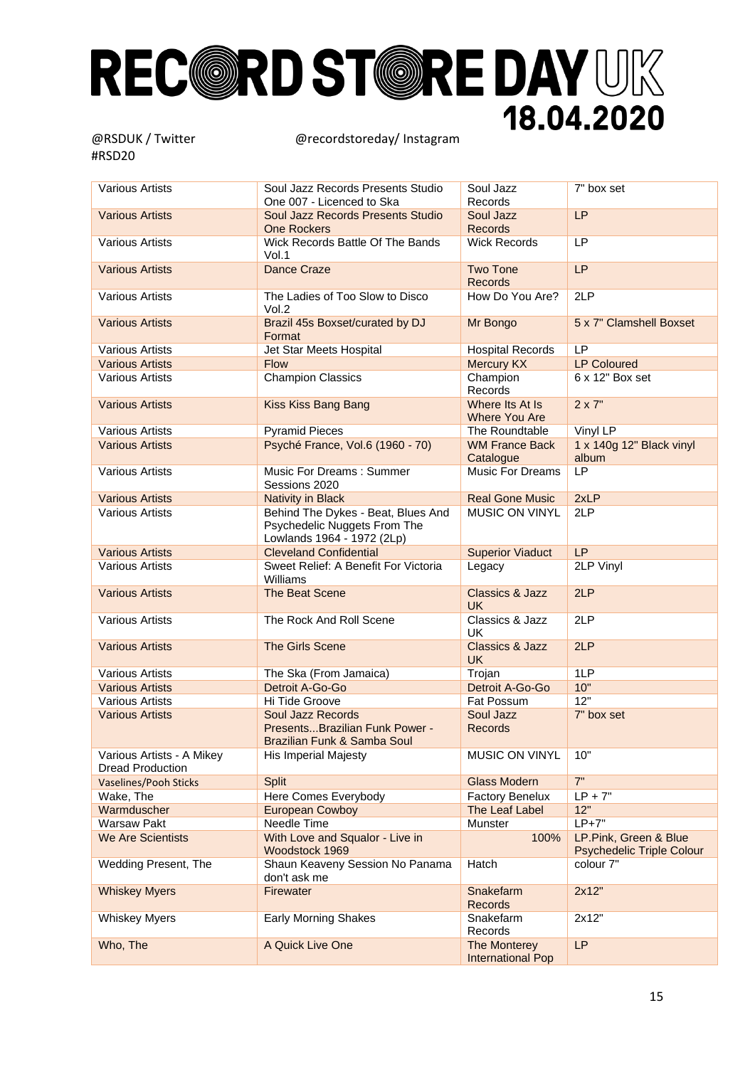| <b>Various Artists</b>                               | Soul Jazz Records Presents Studio<br>One 007 - Licenced to Ska                                   | Soul Jazz<br>Records                     | $7"$ box set                                              |
|------------------------------------------------------|--------------------------------------------------------------------------------------------------|------------------------------------------|-----------------------------------------------------------|
| <b>Various Artists</b>                               | Soul Jazz Records Presents Studio<br><b>One Rockers</b>                                          | Soul Jazz<br><b>Records</b>              | LP                                                        |
| <b>Various Artists</b>                               | Wick Records Battle Of The Bands<br>Vol.1                                                        | <b>Wick Records</b>                      | LP                                                        |
| <b>Various Artists</b>                               | Dance Craze                                                                                      | <b>Two Tone</b><br><b>Records</b>        | LP                                                        |
| <b>Various Artists</b>                               | The Ladies of Too Slow to Disco<br>Vol.2                                                         | How Do You Are?                          | 2LP                                                       |
| <b>Various Artists</b>                               | Brazil 45s Boxset/curated by DJ<br>Format                                                        | Mr Bongo                                 | 5 x 7" Clamshell Boxset                                   |
| <b>Various Artists</b>                               | Jet Star Meets Hospital                                                                          | <b>Hospital Records</b>                  | LP                                                        |
| <b>Various Artists</b>                               | <b>Flow</b>                                                                                      | <b>Mercury KX</b>                        | <b>LP Coloured</b>                                        |
| <b>Various Artists</b>                               | <b>Champion Classics</b>                                                                         | Champion<br>Records                      | 6 x 12" Box set                                           |
| <b>Various Artists</b>                               | <b>Kiss Kiss Bang Bang</b>                                                                       | Where Its At Is<br><b>Where You Are</b>  | $2 \times 7"$                                             |
| <b>Various Artists</b>                               | <b>Pyramid Pieces</b>                                                                            | The Roundtable                           | Vinyl LP                                                  |
| <b>Various Artists</b>                               | Psyché France, Vol.6 (1960 - 70)                                                                 | <b>WM France Back</b><br>Catalogue       | 1 x 140g 12" Black vinyl<br>album                         |
| <b>Various Artists</b>                               | Music For Dreams: Summer<br>Sessions 2020                                                        | <b>Music For Dreams</b>                  | LP                                                        |
| <b>Various Artists</b>                               | <b>Nativity in Black</b>                                                                         | <b>Real Gone Music</b>                   | 2xLP                                                      |
| <b>Various Artists</b>                               | Behind The Dykes - Beat, Blues And<br>Psychedelic Nuggets From The<br>Lowlands 1964 - 1972 (2Lp) | <b>MUSIC ON VINYL</b>                    | 2LP                                                       |
| <b>Various Artists</b>                               | <b>Cleveland Confidential</b>                                                                    | <b>Superior Viaduct</b>                  | LP                                                        |
| <b>Various Artists</b>                               | Sweet Relief: A Benefit For Victoria<br>Williams                                                 | Legacy                                   | 2LP Vinyl                                                 |
| <b>Various Artists</b>                               | The Beat Scene                                                                                   | <b>Classics &amp; Jazz</b><br><b>UK</b>  | 2LP                                                       |
| <b>Various Artists</b>                               | The Rock And Roll Scene                                                                          | Classics & Jazz<br>UK                    | 2LP                                                       |
| <b>Various Artists</b>                               | <b>The Girls Scene</b>                                                                           | <b>Classics &amp; Jazz</b><br><b>UK</b>  | 2LP                                                       |
| <b>Various Artists</b>                               | The Ska (From Jamaica)                                                                           | Trojan                                   | 1LP                                                       |
| <b>Various Artists</b>                               | Detroit A-Go-Go                                                                                  | Detroit A-Go-Go                          | 10"                                                       |
| <b>Various Artists</b>                               | Hi Tide Groove                                                                                   | Fat Possum                               | 12"                                                       |
| <b>Various Artists</b>                               | <b>Soul Jazz Records</b><br>PresentsBrazilian Funk Power -<br>Brazilian Funk & Samba Soul        | Soul Jazz<br><b>Records</b>              | 7" box set                                                |
| Various Artists - A Mikey<br><b>Dread Production</b> | <b>His Imperial Majesty</b>                                                                      | MUSIC ON VINYL                           | 10"                                                       |
| <b>Vaselines/Pooh Sticks</b>                         | <b>Split</b>                                                                                     | <b>Glass Modern</b>                      | 7"                                                        |
| Wake, The                                            | Here Comes Everybody                                                                             | <b>Factory Benelux</b>                   | $LP + 7"$                                                 |
| Warmduscher                                          | <b>European Cowboy</b>                                                                           | The Leaf Label                           | 12"                                                       |
| <b>Warsaw Pakt</b>                                   | Needle Time                                                                                      | Munster                                  | $LP+7"$                                                   |
| <b>We Are Scientists</b>                             | With Love and Squalor - Live in<br>Woodstock 1969                                                | 100%                                     | LP.Pink, Green & Blue<br><b>Psychedelic Triple Colour</b> |
| Wedding Present, The                                 | Shaun Keaveny Session No Panama<br>don't ask me                                                  | Hatch                                    | colour 7"                                                 |
| <b>Whiskey Myers</b>                                 | Firewater                                                                                        | Snakefarm<br><b>Records</b>              | 2x12"                                                     |
| <b>Whiskey Myers</b>                                 | <b>Early Morning Shakes</b>                                                                      | Snakefarm<br>Records                     | 2x12"                                                     |
| Who, The                                             | A Quick Live One                                                                                 | The Monterey<br><b>International Pop</b> | LP                                                        |